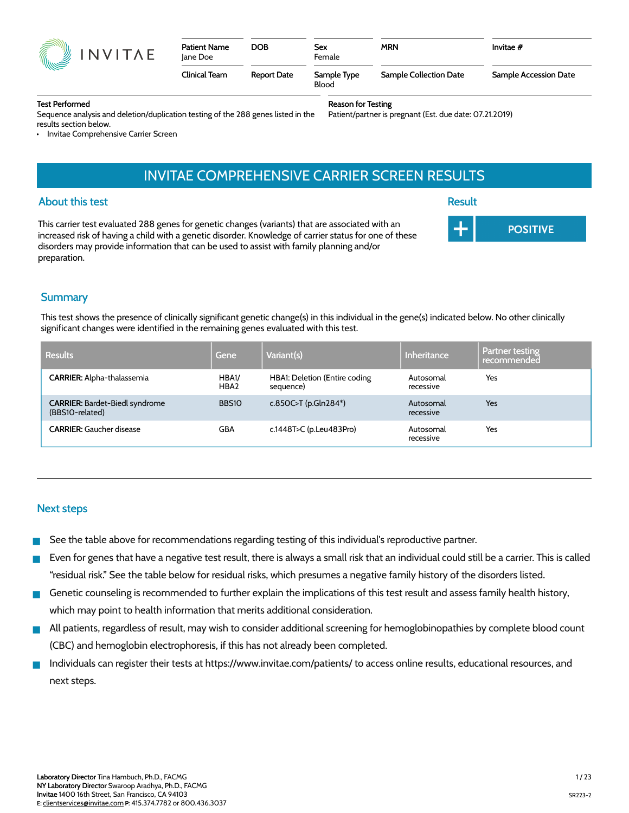# Test Performed

Sequence analysis and deletion/duplication testing of the 288 genes listed in the results section below.

• Invitae Comprehensive Carrier Screen

# INVITAE COMPREHENSIVE CARRIER SCREEN RESULTS

# About this test

This carrier test evaluated 288 genes for genetic changes (variants) that are associated with an increased risk of having a child with a genetic disorder. Knowledge of carrier status for one of these disorders may provide information that can be used to assist with family planning and/or preparation.

# **Summary**

This test shows the presence of clinically significant genetic change(s) in this individual in the gene(s) indicated below. No other clinically significant changes were identified in the remaining genes evaluated with this test.

| <b>Results</b>                                           | Gene          | Variant(s)                                 | Inheritance            | Partner testing<br>recommended |
|----------------------------------------------------------|---------------|--------------------------------------------|------------------------|--------------------------------|
| <b>CARRIER:</b> Alpha-thalassemia                        | HBA1/<br>HBA2 | HBA1: Deletion (Entire coding<br>sequence) | Autosomal<br>recessive | Yes                            |
| <b>CARRIER: Bardet-Biedl syndrome</b><br>(BBS10-related) | <b>BBS10</b>  | c.850C>T (p.Gln284*)                       | Autosomal<br>recessive | Yes                            |
| <b>CARRIER:</b> Gaucher disease                          | GBA           | c.1448T>C (p.Leu483Pro)                    | Autosomal<br>recessive | Yes                            |

#### Next steps

- See the table above for recommendations regarding testing of this individual's reproductive partner.
- Even for genes that have a negative test result, there is always a small risk that an individual could still be a carrier. This is called "residual risk." See the table below for residual risks, which presumes a negative family history of the disorders listed.
- Genetic counseling is recommended to further explain the implications of this test result and assess family health history, which may point to health information that merits additional consideration.
- All patients, regardless of result, may wish to consider additional screening for hemoglobinopathies by complete blood count (CBC) and hemoglobin electrophoresis, if this has not already been completed.
- Individuals can register their tests at https://www.invitae.com/patients/ to access online results, educational resources, and next steps.

# INVITAE

#### Reason for Testing

Patient/partner is pregnant (Est. due date: 07.21.2019)

**Result POSITIVE** 

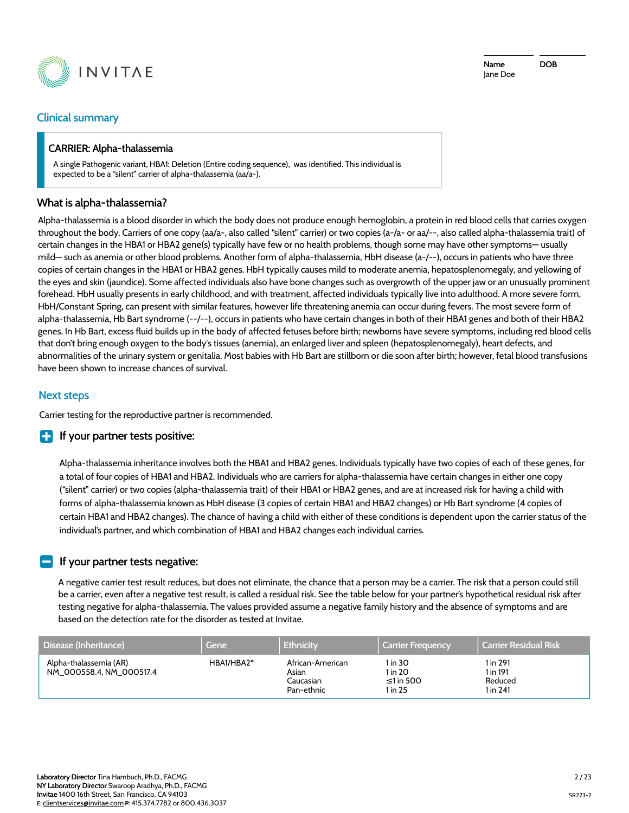

#### Clinical summary

#### CARRIER: Alpha-thalassemia

A single Pathogenic variant, HBA1: Deletion (Entire coding sequence), was identified. This individual is expected to be a "silent" carrier of alpha-thalassemia (aa/a-).

#### What is alpha-thalassemia?

Alpha-thalassemia is a blood disorder in which the body does not produce enough hemoglobin, a protein in red blood cells that carries oxygen throughout the body. Carriers of one copy (aa/a-, also called "silent" carrier) or two copies (a-/a- or aa/--, also called alpha-thalassemia trait) of certain changes in the HBA1 or HBA2 gene(s) typically have few or no health problems, though some may have other symptoms— usually mild— such as anemia or other blood problems. Another form of alpha-thalassemia, HbH disease (a-/--), occurs in patients who have three copies of certain changes in the HBA1 or HBA2 genes. HbH typically causes mild to moderate anemia, hepatosplenomegaly, and yellowing of the eyes and skin (jaundice). Some affected individuals also have bone changes such as overgrowth of the upper jaw or an unusually prominent forehead. HbH usually presents in early childhood, and with treatment, affected individuals typically live into adulthood. A more severe form, HbH/Constant Spring, can present with similar features, however life threatening anemia can occur during fevers. The most severe form of alpha-thalassemia, Hb Bart syndrome (--/--), occurs in patients who have certain changes in both of their HBA1 genes and both of their HBA2 genes. In Hb Bart, excess fluid builds up in the body of affected fetuses before birth; newborns have severe symptoms, including red blood cells that don't bring enough oxygen to the body's tissues (anemia), an enlarged liver and spleen (hepatosplenomegaly), heart defects, and abnormalities of the urinary system or genitalia. Most babies with Hb Bart are stillborn or die soon after birth; however, fetal blood transfusions have been shown to increase chances of survival.

# Next steps

Carrier testing for the reproductive partner is recommended.

#### $\blacksquare$  If your partner tests positive:

Alpha-thalassemia inheritance involves both the HBA1 and HBA2 genes. Individuals typically have two copies of each of these genes, for a total of four copies of HBA1 and HBA2. Individuals who are carriers for alpha-thalassemia have certain changes in either one copy ("silent" carrier) or two copies (alpha-thalassemia trait) of their HBA1 or HBA2 genes, and are at increased risk for having a child with forms of alpha-thalassemia known as HbH disease (3 copies of certain HBA1 and HBA2 changes) or Hb Bart syndrome (4 copies of certain HBA1 and HBA2 changes). The chance of having a child with either of these conditions is dependent upon the carrier status of the individual's partner, and which combination of HBA1 and HBA2 changes each individual carries.

#### If your partner tests negative:

A negative carrier test result reduces, but does not eliminate, the chance that a person may be a carrier. The risk that a person could still be a carrier, even after a negative test result, is called a residual risk. See the table below for your partner's hypothetical residual risk after testing negative for alpha-thalassemia. The values provided assume a negative family history and the absence of symptoms and are based on the detection rate for the disorder as tested at Invitae.

| Disease (Inheritance)                              | Gene       | <b>Ethnicity</b>                                     | Carrier Frequency.                         | <b>Carrier Residual Risk</b>                |
|----------------------------------------------------|------------|------------------------------------------------------|--------------------------------------------|---------------------------------------------|
| Alpha-thalassemia (AR)<br>NM 000558.4, NM 000517.4 | HBA1/HBA2* | African-American<br>Asian<br>Caucasian<br>Pan-ethnic | 1 in 30<br>1 in 20<br>≤1 in 500<br>1 in 25 | 1 in 291<br>1 in 191<br>Reduced<br>1 in 241 |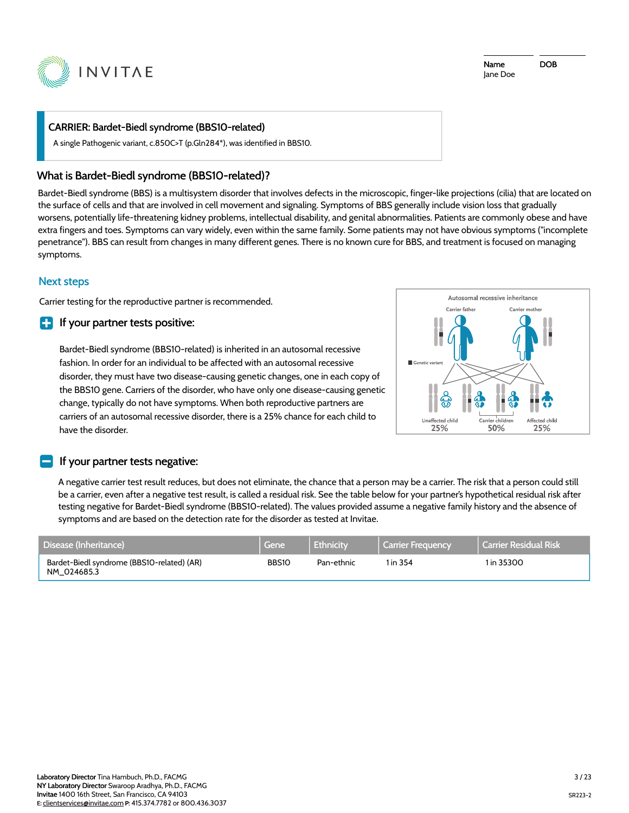

#### CARRIER: Bardet-Biedl syndrome (BBS10-related)

A single Pathogenic variant, c.850C>T (p.Gln284\*), was identified in BBS10.

#### What is Bardet-Biedl syndrome (BBS10-related)?

Bardet-Biedl syndrome (BBS) is a multisystem disorder that involves defects in the microscopic, finger-like projections (cilia) that are located on the surface of cells and that are involved in cell movement and signaling. Symptoms of BBS generally include vision loss that gradually worsens, potentially life-threatening kidney problems, intellectual disability, and genital abnormalities. Patients are commonly obese and have extra fingers and toes. Symptoms can vary widely, even within the same family. Some patients may not have obvious symptoms ("incomplete penetrance"). BBS can result from changes in many different genes. There is no known cure for BBS, and treatment is focused on managing symptoms.

# Next steps

Carrier testing for the reproductive partner is recommended.

#### $\blacksquare$  If your partner tests positive:

Bardet-Biedl syndrome (BBS10-related) is inherited in an autosomal recessive fashion. In order for an individual to be affected with an autosomal recessive disorder, they must have two disease-causing genetic changes, one in each copy of the BBS10 gene. Carriers of the disorder, who have only one disease-causing genetic change, typically do not have symptoms. When both reproductive partners are carriers of an autosomal recessive disorder, there is a 25% chance for each child to have the disorder.



#### If your partner tests negative:

A negative carrier test result reduces, but does not eliminate, the chance that a person may be a carrier. The risk that a person could still be a carrier, even after a negative test result, is called a residual risk. See the table below for your partner's hypothetical residual risk after testing negative for Bardet-Biedl syndrome (BBS10-related). The values provided assume a negative family history and the absence of symptoms and are based on the detection rate for the disorder as tested at Invitae.

| Disease (Inheritance)                                     | Gene i       | Ethnicity  | l Carrier Freguency | l Carrier Residual Risk |
|-----------------------------------------------------------|--------------|------------|---------------------|-------------------------|
| Bardet-Biedl syndrome (BBS10-related) (AR)<br>NM 024685.3 | <b>BBS10</b> | Pan-ethnic | 1 in 354            | 1 in 35300              |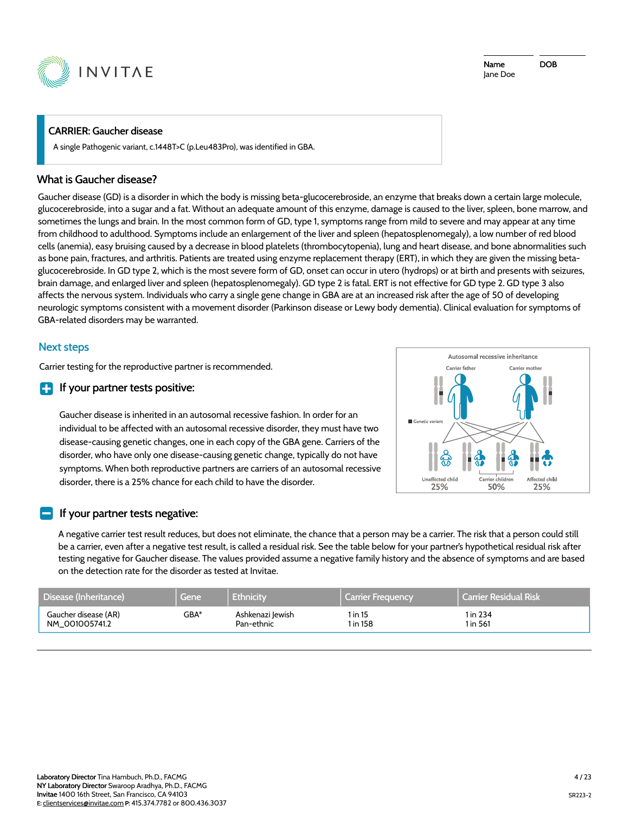

#### CARRIER: Gaucher disease

A single Pathogenic variant, c.1448T>C (p.Leu483Pro), was identified in GBA.

#### What is Gaucher disease?

Gaucher disease (GD) is a disorder in which the body is missing beta-glucocerebroside, an enzyme that breaks down a certain large molecule, glucocerebroside, into a sugar and a fat. Without an adequate amount of this enzyme, damage is caused to the liver, spleen, bone marrow, and sometimes the lungs and brain. In the most common form of GD, type 1, symptoms range from mild to severe and may appear at any time from childhood to adulthood. Symptoms include an enlargement of the liver and spleen (hepatosplenomegaly), a low number of red blood cells (anemia), easy bruising caused by a decrease in blood platelets (thrombocytopenia), lung and heart disease, and bone abnormalities such as bone pain, fractures, and arthritis. Patients are treated using enzyme replacement therapy (ERT), in which they are given the missing betaglucocerebroside. In GD type 2, which is the most severe form of GD, onset can occur in utero (hydrops) or at birth and presents with seizures, brain damage, and enlarged liver and spleen (hepatosplenomegaly). GD type 2 is fatal. ERT is not effective for GD type 2. GD type 3 also affects the nervous system. Individuals who carry a single gene change in GBA are at an increased risk after the age of 50 of developing neurologic symptoms consistent with a movement disorder (Parkinson disease or Lewy body dementia). Clinical evaluation for symptoms of GBA-related disorders may be warranted.

#### Next steps

Carrier testing for the reproductive partner is recommended.

#### $\blacksquare$  If your partner tests positive:

Gaucher disease is inherited in an autosomal recessive fashion. In order for an individual to be affected with an autosomal recessive disorder, they must have two disease-causing genetic changes, one in each copy of the GBA gene. Carriers of the disorder, who have only one disease-causing genetic change, typically do not have symptoms. When both reproductive partners are carriers of an autosomal recessive disorder, there is a 25% chance for each child to have the disorder.



#### If your partner tests negative:

A negative carrier test result reduces, but does not eliminate, the chance that a person may be a carrier. The risk that a person could still be a carrier, even after a negative test result, is called a residual risk. See the table below for your partner's hypothetical residual risk after testing negative for Gaucher disease. The values provided assume a negative family history and the absence of symptoms and are based on the detection rate for the disorder as tested at Invitae.

| Disease (Inheritance) | Gene   | <b>Ethnicity</b> | ∦ Carrier Frequency⊿ | <b>Carrier Residual Risk</b> |
|-----------------------|--------|------------------|----------------------|------------------------------|
| Gaucher disease (AR)  | $GBA*$ | Ashkenazi Jewish | 1 in 15              | 1 in 234                     |
| NM 001005741.2        |        | Pan-ethnic       | 1 in 158             | 1 in 561                     |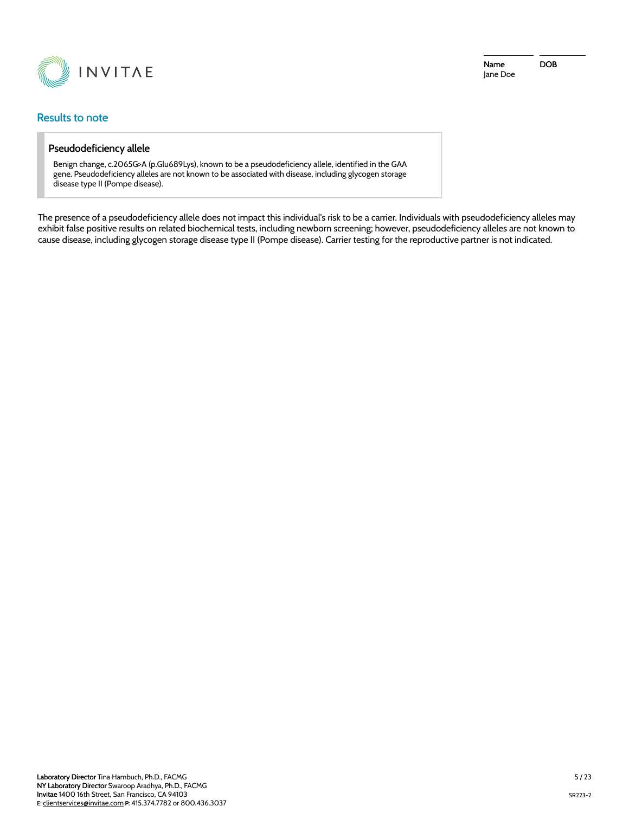

#### Results to note

#### Pseudodeficiency allele

Benign change, c.2065G>A (p.Glu689Lys), known to be a pseudodeficiency allele, identified in the GAA gene. Pseudodeficiency alleles are not known to be associated with disease, including glycogen storage disease type II (Pompe disease).

The presence of a pseudodeficiency allele does not impact this individual's risk to be a carrier. Individuals with pseudodeficiency alleles may exhibit false positive results on related biochemical tests, including newborn screening; however, pseudodeficiency alleles are not known to cause disease, including glycogen storage disease type II (Pompe disease). Carrier testing for the reproductive partner is not indicated.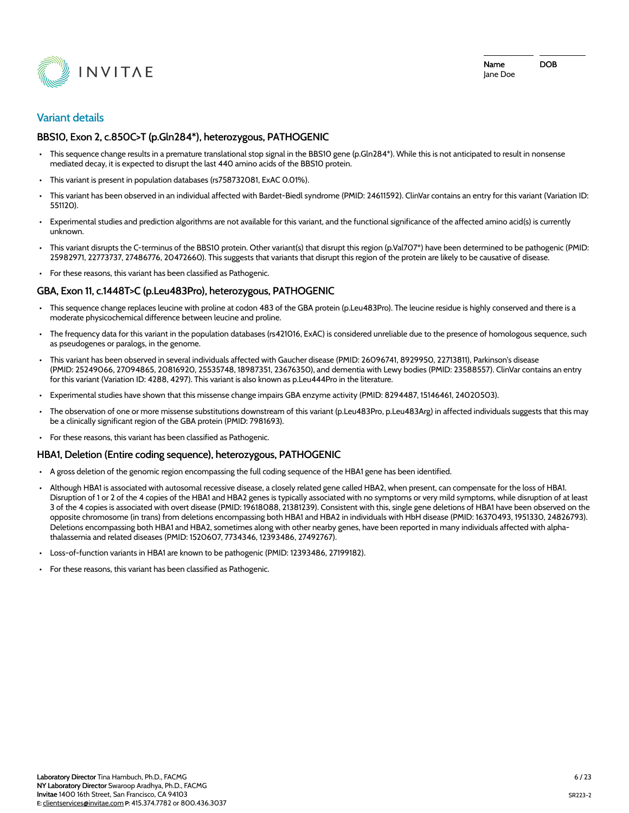

#### **Variant details**

#### BBS10, Exon 2, c.850C>T (p.Gln284\*), heterozygous, PATHOGENIC

- This sequence change results in a premature translational stop signal in the BBS10 gene (p.Gln284\*). While this is not anticipated to result in nonsense mediated decay, it is expected to disrupt the last 440 amino acids of the BBS10 protein.
- This variant is present in population databases (rs758732081, ExAC 0.01%).
- This variant has been observed in an individual affected with Bardet-Biedl syndrome (PMID: 24611592). ClinVar contains an entry for this variant (Variation ID: 551120).
- Experimental studies and prediction algorithms are not available for this variant, and the functional significance of the affected amino acid(s) is currently unknown.
- This variant disrupts the C-terminus of the BBS10 protein. Other variant(s) that disrupt this region (p.Val707\*) have been determined to be pathogenic (PMID: 25982971, 22773737, 27486776, 20472660). This suggests that variants that disrupt this region of the protein are likely to be causative of disease.
- For these reasons, this variant has been classified as Pathogenic.

#### GBA, Exon 11, c.1448T>C (p.Leu483Pro), heterozygous, PATHOGENIC

- This sequence change replaces leucine with proline at codon 483 of the GBA protein (p.Leu483Pro). The leucine residue is highly conserved and there is a moderate physicochemical difference between leucine and proline.
- The frequency data for this variant in the population databases (rs421016, ExAC) is considered unreliable due to the presence of homologous sequence, such as pseudogenes or paralogs, in the genome.
- This variant has been observed in several individuals affected with Gaucher disease (PMID: 26096741, 8929950, 22713811), Parkinson's disease (PMID: 25249066, 27094865, 20816920, 25535748, 18987351, 23676350), and dementia with Lewy bodies (PMID: 23588557). ClinVar contains an entry for this variant (Variation ID: 4288, 4297). This variant is also known as p.Leu444Pro in the literature.
- Experimental studies have shown that this missense change impairs GBA enzyme activity (PMID: 8294487, 15146461, 24020503).
- The observation of one or more missense substitutions downstream of this variant (p.Leu483Pro, p.Leu483Arg) in affected individuals suggests that this may be a clinically significant region of the GBA protein (PMID: 7981693).
- For these reasons, this variant has been classified as Pathogenic.

#### HBA1, Deletion (Entire coding sequence), heterozygous, PATHOGENIC

- A gross deletion of the genomic region encompassing the full coding sequence of the HBA1 gene has been identified.
- Although HBA1 is associated with autosomal recessive disease, a closely related gene called HBA2, when present, can compensate for the loss of HBA1. Disruption of 1 or 2 of the 4 copies of the HBA1 and HBA2 genes is typically associated with no symptoms or very mild symptoms, while disruption of at least 3 of the 4 copies is associated with overt disease (PMID: 19618088, 21381239). Consistent with this, single gene deletions of HBA1 have been observed on the opposite chromosome (in trans) from deletions encompassing both HBA1 and HBA2 in individuals with HbH disease (PMID: 16370493, 1951330, 24826793). Deletions encompassing both HBA1 and HBA2, sometimes along with other nearby genes, have been reported in many individuals affected with alphathalassemia and related diseases (PMID: 1520607, 7734346, 12393486, 27492767).
- Loss-of-function variants in HBA1 are known to be pathogenic (PMID: 12393486, 27199182).
- For these reasons, this variant has been classified as Pathogenic.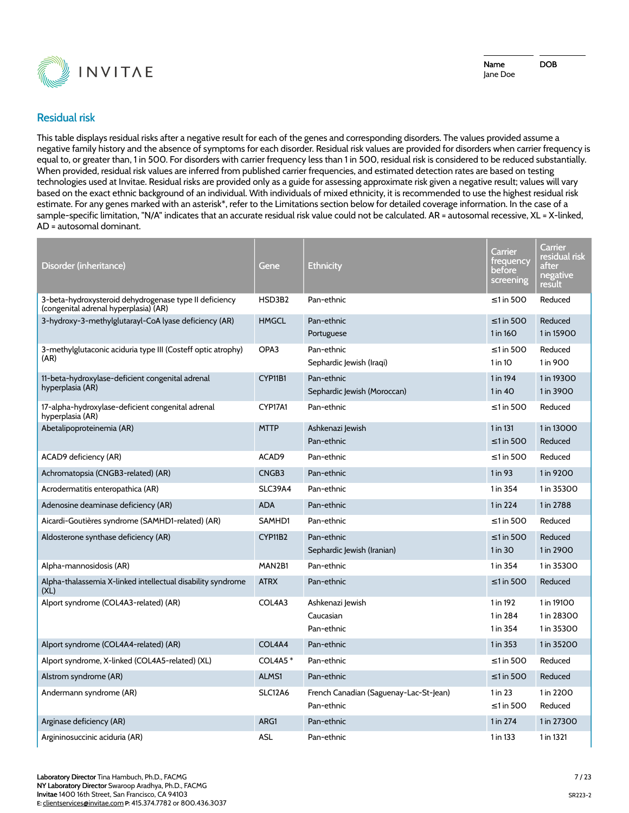

Name Jane Doe DOB

# **Residual risk**

This table displays residual risks after a negative result for each of the genes and corresponding disorders. The values provided assume a negative family history and the absence of symptoms for each disorder. Residual risk values are provided for disorders when carrier frequency is equal to, or greater than, 1 in 500. For disorders with carrier frequency less than 1 in 500, residual risk is considered to be reduced substantially. When provided, residual risk values are inferred from published carrier frequencies, and estimated detection rates are based on testing technologies used at Invitae. Residual risks are provided only as a guide for assessing approximate risk given a negative result; values will vary based on the exact ethnic background of an individual. With individuals of mixed ethnicity, it is recommended to use the highest residual risk estimate. For any genes marked with an asterisk\*, refer to the Limitations section below for detailed coverage information. In the case of a sample-specific limitation, "N/A" indicates that an accurate residual risk value could not be calculated. AR = autosomal recessive, XL = X-linked, AD = autosomal dominant.

| Disorder (inheritance)                                                                          | Gene           | Ethnicity                                            | Carrier<br>trequency<br>before<br>screening | Carrier<br>residual risk<br>after<br>negative<br><u>result</u> |
|-------------------------------------------------------------------------------------------------|----------------|------------------------------------------------------|---------------------------------------------|----------------------------------------------------------------|
| 3-beta-hydroxysteroid dehydrogenase type II deficiency<br>(congenital adrenal hyperplasia) (AR) | HSD3B2         | Pan-ethnic                                           | $\leq$ 1 in 500                             | Reduced                                                        |
| 3-hydroxy-3-methylglutarayl-CoA lyase deficiency (AR)                                           | <b>HMGCL</b>   | Pan-ethnic<br>Portuguese                             | $\leq$ 1 in 500<br>1 in 160                 | Reduced<br>1 in 15900                                          |
| 3-methylglutaconic aciduria type III (Costeff optic atrophy)<br>(AR)                            | OPA3           | Pan-ethnic<br>Sephardic Jewish (Iraqi)               | ≤1 in 500<br>$1$ in $10$                    | Reduced<br>1 in 900                                            |
| 11-beta-hydroxylase-deficient congenital adrenal<br>hyperplasia (AR)                            | CYP11B1        | Pan-ethnic<br>Sephardic Jewish (Moroccan)            | 1 in 194<br>$1$ in $40$                     | 1 in 19300<br>1 in 3900                                        |
| 17-alpha-hydroxylase-deficient congenital adrenal<br>hyperplasia (AR)                           | CYP17A1        | Pan-ethnic                                           | $\leq$ 1 in 500                             | Reduced                                                        |
| Abetalipoproteinemia (AR)                                                                       | <b>MTTP</b>    | Ashkenazi Jewish<br>Pan-ethnic                       | 1 in 131<br>$\leq$ 1 in 500                 | 1 in 13000<br>Reduced                                          |
| ACAD9 deficiency (AR)                                                                           | ACAD9          | Pan-ethnic                                           | $\leq$ 1 in 500                             | Reduced                                                        |
| Achromatopsia (CNGB3-related) (AR)                                                              | CNGB3          | Pan-ethnic                                           | 1 in 93                                     | 1 in 9200                                                      |
| Acrodermatitis enteropathica (AR)                                                               | <b>SLC39A4</b> | Pan-ethnic                                           | 1 in 354                                    | 1 in 35300                                                     |
| Adenosine deaminase deficiency (AR)                                                             | <b>ADA</b>     | Pan-ethnic                                           | 1 in 224                                    | 1 in 2788                                                      |
| Aicardi-Goutières syndrome (SAMHD1-related) (AR)                                                | SAMHD1         | Pan-ethnic                                           | $\leq$ 1 in 500                             | Reduced                                                        |
| Aldosterone synthase deficiency (AR)                                                            | CYP11B2        | Pan-ethnic<br>Sephardic Jewish (Iranian)             | $\leq$ 1 in 500<br>1 in 30                  | Reduced<br>1 in 2900                                           |
| Alpha-mannosidosis (AR)                                                                         | MAN2B1         | Pan-ethnic                                           | 1 in 354                                    | 1 in 35300                                                     |
| Alpha-thalassemia X-linked intellectual disability syndrome<br>(XL)                             | <b>ATRX</b>    | Pan-ethnic                                           | $\leq$ 1 in 500                             | Reduced                                                        |
| Alport syndrome (COL4A3-related) (AR)                                                           | COL4A3         | Ashkenazi Jewish<br>Caucasian<br>Pan-ethnic          | 1 in 192<br>1 in 284<br>1 in 354            | 1 in 19100<br>1 in 28300<br>1 in 35300                         |
| Alport syndrome (COL4A4-related) (AR)                                                           | COL4A4         | Pan-ethnic                                           | 1 in 353                                    | 1 in 35200                                                     |
| Alport syndrome, X-linked (COL4A5-related) (XL)                                                 | <b>COL4A5*</b> | Pan-ethnic                                           | $\leq$ 1 in 500                             | Reduced                                                        |
| Alstrom syndrome (AR)                                                                           | ALMS1          | Pan-ethnic                                           | $\leq$ 1 in 500                             | Reduced                                                        |
| Andermann syndrome (AR)                                                                         | <b>SLC12A6</b> | French Canadian (Saguenay-Lac-St-Jean)<br>Pan-ethnic | 1 in 23<br>$\leq$ 1 in 500                  | 1 in 2200<br>Reduced                                           |
| Arginase deficiency (AR)                                                                        | ARG1           | Pan-ethnic                                           | 1 in 274                                    | 1 in 27300                                                     |
| Argininosuccinic aciduria (AR)                                                                  | ASL            | Pan-ethnic                                           | 1 in 133                                    | 1 in 1321                                                      |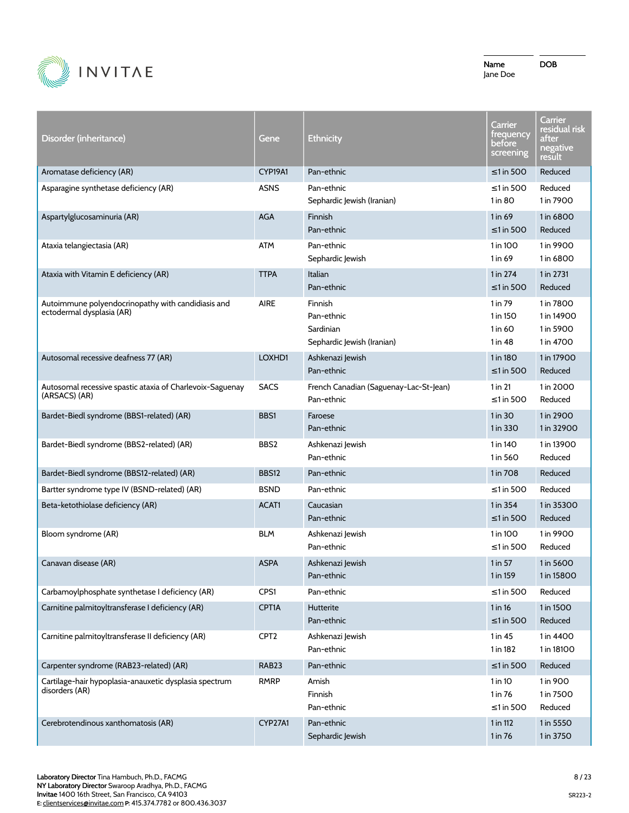

| Disorder (inheritance)                                                          | Gene             | <b>Ethnicity</b>                                                 | Carrier<br>trequency<br>before<br>screening | Carrier<br>residual risk<br>after<br>negative<br>result |
|---------------------------------------------------------------------------------|------------------|------------------------------------------------------------------|---------------------------------------------|---------------------------------------------------------|
| Aromatase deficiency (AR)                                                       | CYP19A1          | Pan-ethnic                                                       | ≤1 in 500                                   | Reduced                                                 |
| Asparagine synthetase deficiency (AR)                                           | <b>ASNS</b>      | Pan-ethnic<br>Sephardic Jewish (Iranian)                         | $\leq$ 1 in 500<br>1 in 80                  | Reduced<br>1 in 7900                                    |
| Aspartylglucosaminuria (AR)                                                     | <b>AGA</b>       | Finnish<br>Pan-ethnic                                            | 1 in 69<br>$\leq$ 1 in 500                  | 1 in 6800<br>Reduced                                    |
| Ataxia telangiectasia (AR)                                                      | <b>ATM</b>       | Pan-ethnic<br>Sephardic Jewish                                   | 1 in 100<br>1 in 69                         | 1 in 9900<br>1 in 6800                                  |
| Ataxia with Vitamin E deficiency (AR)                                           | <b>TTPA</b>      | Italian<br>Pan-ethnic                                            | 1 in 274<br>$\leq$ 1 in 500                 | 1 in 2731<br>Reduced                                    |
| Autoimmune polyendocrinopathy with candidiasis and<br>ectodermal dysplasia (AR) | <b>AIRE</b>      | Finnish<br>Pan-ethnic<br>Sardinian<br>Sephardic Jewish (Iranian) | 1 in 79<br>1 in 150<br>1 in 60<br>1 in 48   | 1 in 7800<br>1 in 14900<br>1 in 5900<br>1 in 4700       |
| Autosomal recessive deafness 77 (AR)                                            | LOXHD1           | Ashkenazi Jewish<br>Pan-ethnic                                   | 1 in 180<br>$\leq$ 1 in 500                 | 1 in 17900<br>Reduced                                   |
| Autosomal recessive spastic ataxia of Charlevoix-Saguenay<br>(ARSACS) (AR)      | <b>SACS</b>      | French Canadian (Saguenay-Lac-St-Jean)<br>Pan-ethnic             | 1 in 21<br>$\leq$ 1 in 500                  | 1 in 2000<br>Reduced                                    |
| Bardet-Biedl syndrome (BBS1-related) (AR)                                       | BBS1             | Faroese<br>Pan-ethnic                                            | 1 in 30<br>1 in 330                         | 1 in 2900<br>1 in 32900                                 |
| Bardet-Biedl syndrome (BBS2-related) (AR)                                       | BBS2             | Ashkenazi Jewish<br>Pan-ethnic                                   | 1 in 140<br>1 in 560                        | 1 in 13900<br>Reduced                                   |
| Bardet-Biedl syndrome (BBS12-related) (AR)                                      | <b>BBS12</b>     | Pan-ethnic                                                       | 1 in 708                                    | Reduced                                                 |
| Bartter syndrome type IV (BSND-related) (AR)                                    | <b>BSND</b>      | Pan-ethnic                                                       | ≤1 in 500                                   | Reduced                                                 |
| Beta-ketothiolase deficiency (AR)                                               | ACAT1            | Caucasian<br>Pan-ethnic                                          | 1 in 354<br>$\leq$ 1 in 500                 | 1 in 35300<br>Reduced                                   |
| Bloom syndrome (AR)                                                             | <b>BLM</b>       | Ashkenazi Jewish<br>Pan-ethnic                                   | 1 in 100<br>$\leq$ 1 in 500                 | 1 in 9900<br>Reduced                                    |
| Canavan disease (AR)                                                            | <b>ASPA</b>      | Ashkenazi Jewish<br>Pan-ethnic                                   | 1 in 57<br>1 in 159                         | 1 in 5600<br>1 in 15800                                 |
| Carbamoylphosphate synthetase I deficiency (AR)                                 | CPS1             | Pan-ethnic                                                       | $\leq$ 1 in 500                             | Reduced                                                 |
| Carnitine palmitoyltransferase I deficiency (AR)                                | CPT1A            | Hutterite<br>Pan-ethnic                                          | 1 in 16<br>$\leq$ 1 in 500                  | 1 in 1500<br>Reduced                                    |
| Carnitine palmitoyltransferase II deficiency (AR)                               | CPT <sub>2</sub> | Ashkenazi Jewish<br>Pan-ethnic                                   | 1 in 45<br>1 in 182                         | 1 in 4400<br>1 in 18100                                 |
| Carpenter syndrome (RAB23-related) (AR)                                         | RAB23            | Pan-ethnic                                                       | ≤1 in 500                                   | Reduced                                                 |
| Cartilage-hair hypoplasia-anauxetic dysplasia spectrum<br>disorders (AR)        | <b>RMRP</b>      | Amish<br>Finnish<br>Pan-ethnic                                   | 1 in 10<br>1 in 76<br>$\leq$ 1 in 500       | 1 in 900<br>1 in 7500<br>Reduced                        |
| Cerebrotendinous xanthomatosis (AR)                                             | CYP27A1          | Pan-ethnic<br>Sephardic Jewish                                   | 1 in 112<br>1 in 76                         | 1 in 5550<br>1 in 3750                                  |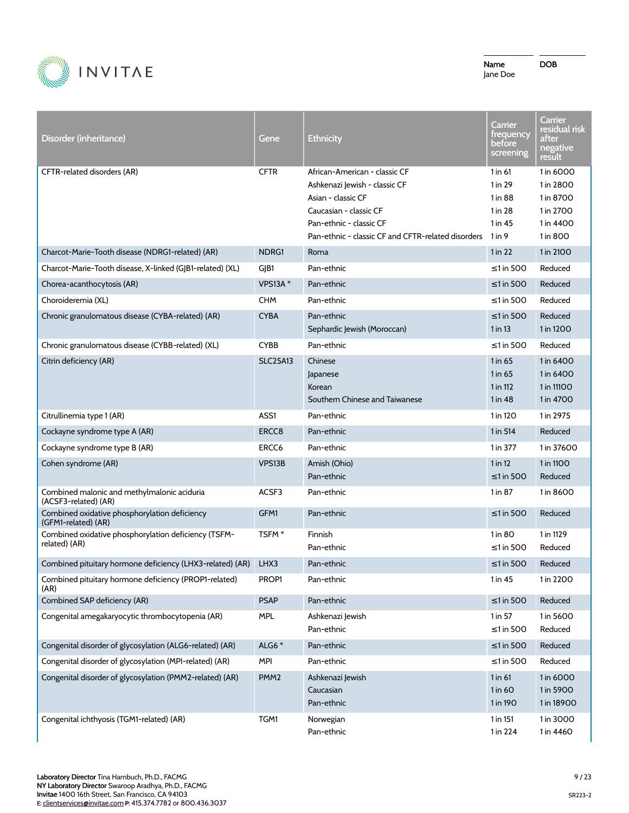

| Disorder (inheritance)                                                | Gene              | <b>Ethnicity</b>                                                                                                                                                                                       | Carrier<br>trequency<br>before<br>screening         | Carrier<br>residual risk<br>after<br>negative<br><u>result</u>            |
|-----------------------------------------------------------------------|-------------------|--------------------------------------------------------------------------------------------------------------------------------------------------------------------------------------------------------|-----------------------------------------------------|---------------------------------------------------------------------------|
| CFTR-related disorders (AR)                                           | <b>CFTR</b>       | African-American - classic CF<br>Ashkenazi Jewish - classic CF<br>Asian - classic CF<br>Caucasian - classic CF<br>Pan-ethnic - classic CF<br>Pan-ethnic - classic CF and CFTR-related disorders 1 in 9 | 1 in 61<br>1 in 29<br>1 in 88<br>1 in 28<br>1 in 45 | 1 in 6000<br>1 in 2800<br>1 in 8700<br>1 in 2700<br>1 in 4400<br>1 in 800 |
| Charcot-Marie-Tooth disease (NDRG1-related) (AR)                      | NDRG1             | Roma                                                                                                                                                                                                   | $1$ in 22                                           | 1 in 2100                                                                 |
| Charcot-Marie-Tooth disease, X-linked (GJB1-related) (XL)             | GIB1              | Pan-ethnic                                                                                                                                                                                             | $\leq$ 1 in 500                                     | Reduced                                                                   |
| Chorea-acanthocytosis (AR)                                            | VPS13A $*$        | Pan-ethnic                                                                                                                                                                                             | $\leq$ 1 in 500                                     | Reduced                                                                   |
| Choroideremia (XL)                                                    | <b>CHM</b>        | Pan-ethnic                                                                                                                                                                                             | ≤1 in 500                                           | Reduced                                                                   |
| Chronic granulomatous disease (CYBA-related) (AR)                     | <b>CYBA</b>       | Pan-ethnic<br>Sephardic Jewish (Moroccan)                                                                                                                                                              | ≤1 in 500<br>$1$ in 13                              | Reduced<br>1 in 1200                                                      |
| Chronic granulomatous disease (CYBB-related) (XL)                     | <b>CYBB</b>       | Pan-ethnic                                                                                                                                                                                             | ≤1 in 500                                           | Reduced                                                                   |
| Citrin deficiency (AR)                                                | <b>SLC25A13</b>   | Chinese<br>Japanese<br>Korean<br>Southern Chinese and Taiwanese                                                                                                                                        | $1$ in 65<br>1 in 65<br>1 in 112<br>1 in 48         | 1 in 6400<br>1 in 6400<br>1 in 11100<br>1 in 4700                         |
| Citrullinemia type 1 (AR)                                             | ASS1              | Pan-ethnic                                                                                                                                                                                             | 1 in 120                                            | 1 in 2975                                                                 |
| Cockayne syndrome type A (AR)                                         | ERCC8             | Pan-ethnic                                                                                                                                                                                             | 1 in 514                                            | Reduced                                                                   |
| Cockayne syndrome type B (AR)                                         | ERCC6             | Pan-ethnic                                                                                                                                                                                             | 1 in 377                                            | 1 in 37600                                                                |
| Cohen syndrome (AR)                                                   | VPS13B            | Amish (Ohio)<br>Pan-ethnic                                                                                                                                                                             | $1$ in 12<br>$\leq$ 1 in 500                        | 1 in 1100<br>Reduced                                                      |
| Combined malonic and methylmalonic aciduria<br>(ACSF3-related) (AR)   | ACSF3             | Pan-ethnic                                                                                                                                                                                             | 1 in 87                                             | 1 in 8600                                                                 |
| Combined oxidative phosphorylation deficiency<br>(GFM1-related) (AR)  | GFM1              | Pan-ethnic                                                                                                                                                                                             | $\leq$ 1 in 500                                     | Reduced                                                                   |
| Combined oxidative phosphorylation deficiency (TSFM-<br>related) (AR) | TSFM <sup>*</sup> | Finnish<br>Pan-ethnic                                                                                                                                                                                  | 1 in 80<br>$\leq$ 1 in 500                          | 1 in 1129<br>Reduced                                                      |
| Combined pituitary hormone deficiency (LHX3-related) (AR)             | LHX3              | Pan-ethnic                                                                                                                                                                                             | $\leq$ 1 in 500                                     | Reduced                                                                   |
| Combined pituitary hormone deficiency (PROP1-related)<br>(AR)         | PROP1             | Pan-ethnic                                                                                                                                                                                             | 1 in 45                                             | 1 in 2200                                                                 |
| Combined SAP deficiency (AR)                                          | <b>PSAP</b>       | Pan-ethnic                                                                                                                                                                                             | $\leq$ 1 in 500                                     | Reduced                                                                   |
| Congenital amegakaryocytic thrombocytopenia (AR)                      | <b>MPL</b>        | Ashkenazi Jewish<br>Pan-ethnic                                                                                                                                                                         | 1 in 57<br>$\leq$ 1 in 500                          | 1 in 5600<br>Reduced                                                      |
| Congenital disorder of glycosylation (ALG6-related) (AR)              | ALG6 $*$          | Pan-ethnic                                                                                                                                                                                             | $\leq$ 1 in 500                                     | Reduced                                                                   |
| Congenital disorder of glycosylation (MPI-related) (AR)               | <b>MPI</b>        | Pan-ethnic                                                                                                                                                                                             | $\leq$ 1 in 500                                     | Reduced                                                                   |
| Congenital disorder of glycosylation (PMM2-related) (AR)              | PMM <sub>2</sub>  | Ashkenazi Jewish<br>Caucasian<br>Pan-ethnic                                                                                                                                                            | 1 in 61<br>1 in 60<br>1 in 190                      | 1 in 6000<br>1 in 5900<br>1 in 18900                                      |
| Congenital ichthyosis (TGM1-related) (AR)                             | TGM1              | Norwegian<br>Pan-ethnic                                                                                                                                                                                | 1 in 151<br>1 in 224                                | 1 in 3000<br>1 in 4460                                                    |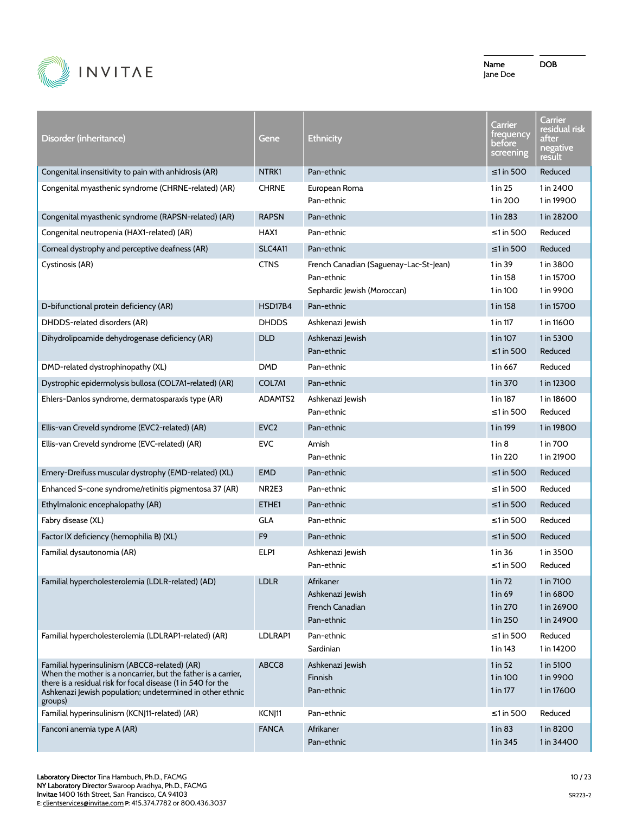

| Disorder (inheritance)                                                                                                                                                                                                                                 | Gene              | <b>Ethnicity</b>                                                                    | Carrier<br><u>frequency</u><br>before<br>screening | Carrier<br>residual risk<br>after<br>negative<br><u>result</u> |
|--------------------------------------------------------------------------------------------------------------------------------------------------------------------------------------------------------------------------------------------------------|-------------------|-------------------------------------------------------------------------------------|----------------------------------------------------|----------------------------------------------------------------|
| Congenital insensitivity to pain with anhidrosis (AR)                                                                                                                                                                                                  | NTRK1             | Pan-ethnic                                                                          | ≤1 in 500                                          | Reduced                                                        |
| Congenital myasthenic syndrome (CHRNE-related) (AR)                                                                                                                                                                                                    | <b>CHRNE</b>      | European Roma<br>Pan-ethnic                                                         | 1 in 25<br>1 in 200                                | 1 in 2400<br>1 in 19900                                        |
| Congenital myasthenic syndrome (RAPSN-related) (AR)                                                                                                                                                                                                    | <b>RAPSN</b>      | Pan-ethnic                                                                          | 1 in 283                                           | 1 in 28200                                                     |
| Congenital neutropenia (HAX1-related) (AR)                                                                                                                                                                                                             | HAX1              | Pan-ethnic                                                                          | $\leq$ 1 in 500                                    | Reduced                                                        |
| Corneal dystrophy and perceptive deafness (AR)                                                                                                                                                                                                         | <b>SLC4A11</b>    | Pan-ethnic                                                                          | $\leq$ 1 in 500                                    | Reduced                                                        |
| Cystinosis (AR)                                                                                                                                                                                                                                        | <b>CTNS</b>       | French Canadian (Saguenay-Lac-St-Jean)<br>Pan-ethnic<br>Sephardic Jewish (Moroccan) | 1 in 39<br>1 in 158<br>1 in 100                    | 1 in 3800<br>1 in 15700<br>1 in 9900                           |
| D-bifunctional protein deficiency (AR)                                                                                                                                                                                                                 | HSD17B4           | Pan-ethnic                                                                          | 1 in 158                                           | 1 in 15700                                                     |
| DHDDS-related disorders (AR)                                                                                                                                                                                                                           | <b>DHDDS</b>      | Ashkenazi Jewish                                                                    | 1 in 117                                           | 1 in 11600                                                     |
| Dihydrolipoamide dehydrogenase deficiency (AR)                                                                                                                                                                                                         | <b>DLD</b>        | Ashkenazi Jewish<br>Pan-ethnic                                                      | 1 in 107<br>$\leq$ 1 in 500                        | 1 in 5300<br>Reduced                                           |
| DMD-related dystrophinopathy (XL)                                                                                                                                                                                                                      | <b>DMD</b>        | Pan-ethnic                                                                          | 1 in 667                                           | Reduced                                                        |
| Dystrophic epidermolysis bullosa (COL7A1-related) (AR)                                                                                                                                                                                                 | COL7A1            | Pan-ethnic                                                                          | 1 in 370                                           | 1 in 12300                                                     |
| Ehlers-Danlos syndrome, dermatosparaxis type (AR)                                                                                                                                                                                                      | ADAMTS2           | Ashkenazi Jewish<br>Pan-ethnic                                                      | 1 in 187<br>$\leq$ 1 in 500                        | 1 in 18600<br>Reduced                                          |
| Ellis-van Creveld syndrome (EVC2-related) (AR)                                                                                                                                                                                                         | EVC <sub>2</sub>  | Pan-ethnic                                                                          | 1 in 199                                           | 1 in 19800                                                     |
| Ellis-van Creveld syndrome (EVC-related) (AR)                                                                                                                                                                                                          | <b>EVC</b>        | Amish<br>Pan-ethnic                                                                 | $1$ in $8$<br>1 in 220                             | 1 in 700<br>1 in 21900                                         |
| Emery-Dreifuss muscular dystrophy (EMD-related) (XL)                                                                                                                                                                                                   | <b>EMD</b>        | Pan-ethnic                                                                          | ≤1 in 500                                          | Reduced                                                        |
| Enhanced S-cone syndrome/retinitis pigmentosa 37 (AR)                                                                                                                                                                                                  | NR <sub>2E3</sub> | Pan-ethnic                                                                          | $\leq$ 1 in 500                                    | Reduced                                                        |
| Ethylmalonic encephalopathy (AR)                                                                                                                                                                                                                       | ETHE1             | Pan-ethnic                                                                          | $\leq$ 1 in 500                                    | Reduced                                                        |
| Fabry disease (XL)                                                                                                                                                                                                                                     | <b>GLA</b>        | Pan-ethnic                                                                          | $\leq$ 1 in 500                                    | Reduced                                                        |
| Factor IX deficiency (hemophilia B) (XL)                                                                                                                                                                                                               | F <sub>9</sub>    | Pan-ethnic                                                                          | $\leq$ 1 in 500                                    | Reduced                                                        |
| Familial dysautonomia (AR)                                                                                                                                                                                                                             | ELP1              | Ashkenazi Jewish<br>Pan-ethnic                                                      | 1 in 36<br>≤1 in 500                               | 1 in 3500<br>Reduced                                           |
| Familial hypercholesterolemia (LDLR-related) (AD)                                                                                                                                                                                                      | <b>LDLR</b>       | Afrikaner<br>Ashkenazi Jewish<br>French Canadian<br>Pan-ethnic                      | $1$ in $72$<br>1 in 69<br>1 in 270<br>1 in 250     | 1 in 7100<br>1 in 6800<br>1 in 26900<br>1 in 24900             |
| Familial hypercholesterolemia (LDLRAP1-related) (AR)                                                                                                                                                                                                   | LDLRAP1           | Pan-ethnic<br>Sardinian                                                             | $\leq$ 1 in 500<br>1 in 143                        | Reduced<br>1 in 14200                                          |
| Familial hyperinsulinism (ABCC8-related) (AR)<br>When the mother is a noncarrier, but the father is a carrier,<br>there is a residual risk for focal disease (1 in 540 for the<br>Ashkenazi Jewish population; undetermined in other ethnic<br>groups) | ABCC8             | Ashkenazi Jewish<br>Finnish<br>Pan-ethnic                                           | $1$ in 52<br>1 in 100<br>1 in 177                  | 1 in 5100<br>1 in 9900<br>1 in 17600                           |
| Familial hyperinsulinism (KCNJ11-related) (AR)                                                                                                                                                                                                         | KCNJ11            | Pan-ethnic                                                                          | ≤1 in 500                                          | Reduced                                                        |
| Fanconi anemia type A (AR)                                                                                                                                                                                                                             | <b>FANCA</b>      | Afrikaner<br>Pan-ethnic                                                             | $1$ in 83<br>1 in 345                              | 1 in 8200<br>1 in 34400                                        |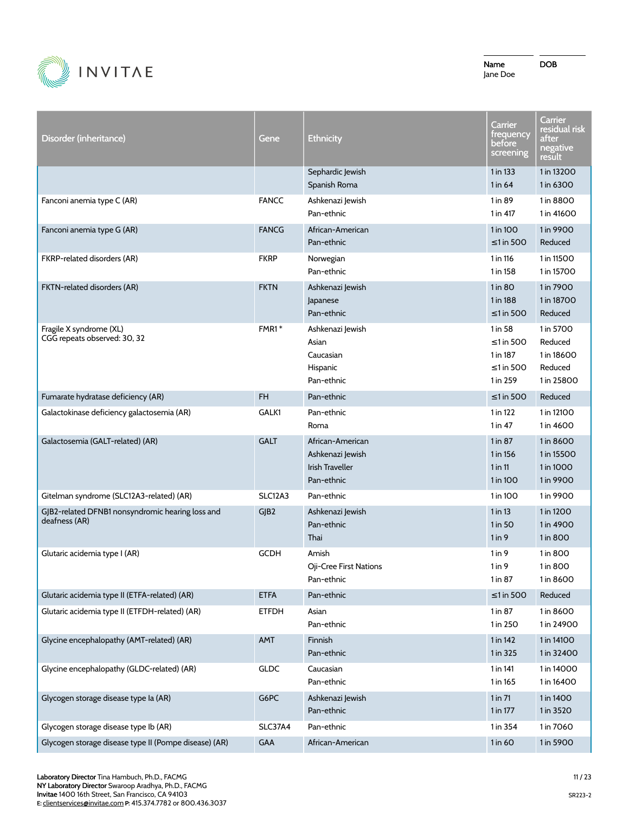

| Disorder (inheritance)                                            | Gene         | <b>Ethnicity</b>                                                             | Carrier<br>trequency<br>before<br>screening                           | Carrier<br>residual risk<br>after<br>negative<br>result     |
|-------------------------------------------------------------------|--------------|------------------------------------------------------------------------------|-----------------------------------------------------------------------|-------------------------------------------------------------|
|                                                                   |              | Sephardic Jewish<br>Spanish Roma                                             | 1 in 133<br>1 in 64                                                   | 1 in 13200<br>1 in 6300                                     |
| Fanconi anemia type C (AR)                                        | <b>FANCC</b> | Ashkenazi Jewish<br>Pan-ethnic                                               | 1 in 89<br>1 in 417                                                   | 1 in 8800<br>1 in 41600                                     |
| Fanconi anemia type G (AR)                                        | <b>FANCG</b> | African-American<br>Pan-ethnic                                               | 1 in 100<br>$\leq$ 1 in 500                                           | 1 in 9900<br>Reduced                                        |
| FKRP-related disorders (AR)                                       | <b>FKRP</b>  | Norwegian<br>Pan-ethnic                                                      | 1 in 116<br>1 in 158                                                  | 1 in 11500<br>1 in 15700                                    |
| FKTN-related disorders (AR)                                       | <b>FKTN</b>  | Ashkenazi Jewish<br>Japanese<br>Pan-ethnic                                   | 1 in 80<br>1 in 188<br>$\leq$ 1 in 500                                | 1 in 7900<br>1 in 18700<br>Reduced                          |
| Fragile X syndrome (XL)<br>CGG repeats observed: 30, 32           | $FMR1*$      | Ashkenazi Jewish<br>Asian<br>Caucasian<br>Hispanic<br>Pan-ethnic             | 1 in 58<br>$\leq$ 1 in 500<br>1 in 187<br>$\leq$ 1 in 500<br>1 in 259 | 1 in 5700<br>Reduced<br>1 in 18600<br>Reduced<br>1 in 25800 |
| Fumarate hydratase deficiency (AR)                                | <b>FH</b>    | Pan-ethnic                                                                   | $\leq$ 1 in 500                                                       | Reduced                                                     |
| Galactokinase deficiency galactosemia (AR)                        | GALK1        | Pan-ethnic<br>Roma                                                           | 1 in 122<br>$1$ in 47                                                 | 1 in 12100<br>1 in 4600                                     |
| Galactosemia (GALT-related) (AR)                                  | <b>GALT</b>  | African-American<br>Ashkenazi Jewish<br><b>Irish Traveller</b><br>Pan-ethnic | 1 in 87<br>1 in 156<br>$1$ in $11$<br>1 in 100                        | 1 in 8600<br>1 in 15500<br>1 in 1000<br>1 in 9900           |
| Gitelman syndrome (SLC12A3-related) (AR)                          | SLC12A3      | Pan-ethnic                                                                   | 1 in 100                                                              | 1 in 9900                                                   |
| GJB2-related DFNB1 nonsyndromic hearing loss and<br>deafness (AR) | GJB2         | Ashkenazi Jewish<br>Pan-ethnic<br>Thai                                       | 1 in 13<br>$1$ in 50<br>1 in 9                                        | 1 in 1200<br>1 in 4900<br>1 in 800                          |
| Glutaric acidemia type I (AR)                                     | <b>GCDH</b>  | Amish<br>Oji-Cree First Nations<br>Pan-ethnic                                | $1$ in 9<br>$1$ in 9<br>1 in 87                                       | 1 in 800<br>1 in 800<br>1 in 8600                           |
| Glutaric acidemia type II (ETFA-related) (AR)                     | <b>ETFA</b>  | Pan-ethnic                                                                   | $\leq 1$ in 500                                                       | Reduced                                                     |
| Glutaric acidemia type II (ETFDH-related) (AR)                    | <b>ETFDH</b> | Asian<br>Pan-ethnic                                                          | 1 in 87<br>1 in 250                                                   | 1 in 8600<br>1 in 24900                                     |
| Glycine encephalopathy (AMT-related) (AR)                         | AMT          | Finnish<br>Pan-ethnic                                                        | 1 in 142<br>1 in 325                                                  | 1 in 14100<br>1 in 32400                                    |
| Glycine encephalopathy (GLDC-related) (AR)                        | <b>GLDC</b>  | Caucasian<br>Pan-ethnic                                                      | 1 in 141<br>1 in 165                                                  | 1 in 14000<br>1 in 16400                                    |
| Glycogen storage disease type la (AR)                             | G6PC         | Ashkenazi Jewish<br>Pan-ethnic                                               | 1 in 71<br>1 in 177                                                   | 1 in 1400<br>1 in 3520                                      |
| Glycogen storage disease type Ib (AR)                             | SLC37A4      | Pan-ethnic                                                                   | 1 in 354                                                              | 1 in 7060                                                   |
| Glycogen storage disease type II (Pompe disease) (AR)             | GAA          | African-American                                                             | $1$ in 60                                                             | 1 in 5900                                                   |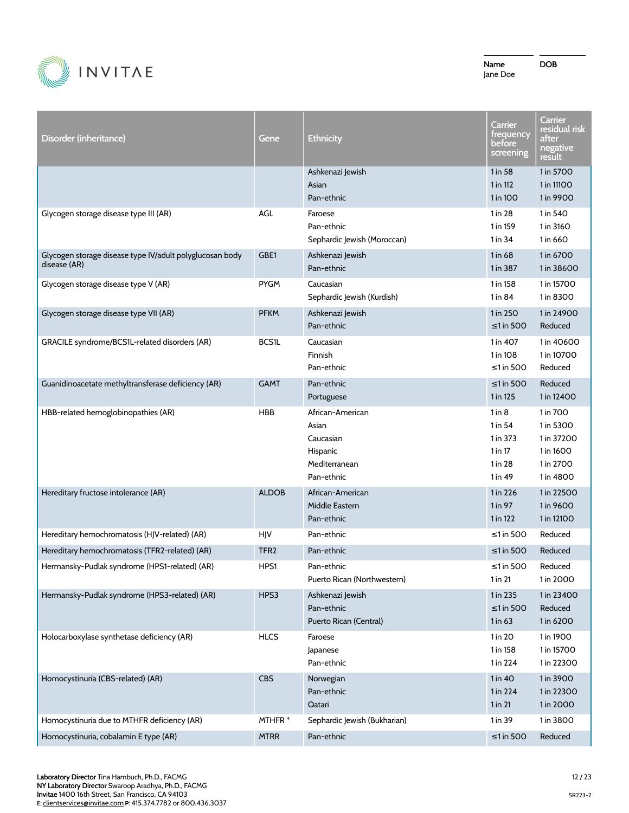

DOB

Disorder (inheritance) Gene Ethnicity **Carrier** frequency before screening **Carrier** residual risk after negative result Ashkenazi Jewish Asian Pan-ethnic 1 in 58 1 in 112 1 in 100 1 in 5700 1 in 11100 1 in 9900 Glycogen storage disease type III (AR) AGL AGL Faroese Pan-ethnic Sephardic Jewish (Moroccan) 1 in 28 1 in 159 1 in 34 1 in 540 1 in 3160 1 in 660 Glycogen storage disease type IV/adult polyglucosan body disease (AR) GBE1 Ashkenazi Jewish Pan-ethnic 1 in 68 1 in 387 1 in 6700 1 in 38600 Glycogen storage disease type V (AR) The Caucasian PYGM Caucasian Sephardic Jewish (Kurdish) 1 in 158 1 in 84 1 in 15700 1 in 8300 Glycogen storage disease type VII (AR) November 2011 PFKM Ashkenazi Jewish Pan-ethnic 1 in 250 ≤1 in 500 1 in 24900 Reduced GRACILE syndrome/BCS1L-related disorders (AR) BCS1L Caucasian Finnish Pan-ethnic 1 in 407 1 in 108 ≤1 in 500 1 in 40600 1 in 10700 Reduced Guanidinoacetate methyltransferase deficiency (AR) GAMT Pan-ethnic Portuguese ≤1 in 500 1 in 125 Reduced 1 in 12400 HBB-related hemoglobinopathies (AR) 
HBB African-American

HBB Asian Caucasian Hispanic Mediterranean Pan-ethnic 1 in 8 1 in 54 1 in 373 1 in 17 1 in 28 1 in 49 1 in 700 1 in 5300 1 in 37200 1 in 1600 1 in 2700 1 in 4800 Hereditary fructose intolerance (AR) ALDOB African-American Middle Eastern Pan-ethnic 1 in 226 1 in 97 1 in 122 1 in 22500 1 in 9600 1 in 12100 Hereditary hemochromatosis (HJV-related) (AR) HJV Pan-ethnic <a>
H<a>
Hereditary hemochromatosis (HJV-related) (AR) HJV Pan-ethnic <a>
H</a>
Hereditary hemochromatosis (HJV-related) (AR) HJV Pan-ethnic <a>
HJV Pan-ethnic Hereditary hemochromatosis (TFR2-related) (AR) TFR2 Pan-ethnic Server Construction of the Server Construction of Reduced Hermansky-Pudlak syndrome (HPS1-related) (AR) HPS1 Pan-ethnic Puerto Rican (Northwestern) ≤1 in 500 1 in 21 Reduced 1 in 2000 Hermansky-Pudlak syndrome (HPS3-related) (AR) HPS3 Ashkenazi Jewish Pan-ethnic Puerto Rican (Central) 1 in 235 ≤1 in 500 1 in 63 1 in 23400 Reduced 1 in 6200 Holocarboxylase synthetase deficiency (AR) 
HLCS Faroese Japanese Pan-ethnic 1 in 20 1 in 158 1 in 224 1 in 1900 1 in 15700 1 in 22300 Homocystinuria (CBS-related) (AR) CBS Norwegian Pan-ethnic Qatari 1 in 40 1 in 224 1 in 21 1 in 3900 1 in 22300 1 in 2000 Homocystinuria due to MTHFR deficiency (AR) MTHFR \* Sephardic Jewish (Bukharian) 1 in 39 1 in 3800 Homocystinuria, cobalamin E type (AR) MTRR Pan-ethnic Server Communication in the State of Reduced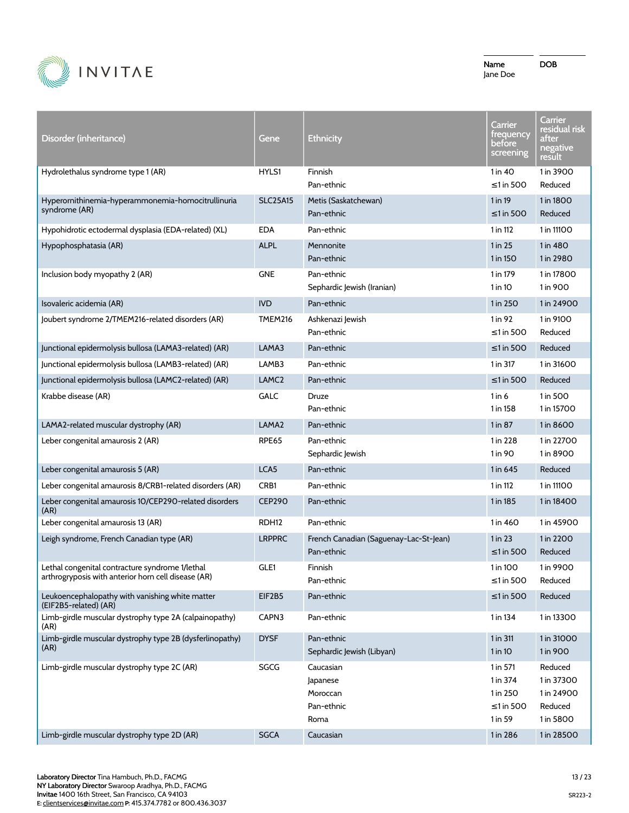

| Disorder (inheritance)                                                                                 | Gene              | <b>Ethnicity</b>                                        | Carrier<br>trequency<br>before<br>screening              | Carrier<br>residual risk<br>after<br>negative<br>result     |
|--------------------------------------------------------------------------------------------------------|-------------------|---------------------------------------------------------|----------------------------------------------------------|-------------------------------------------------------------|
| Hydrolethalus syndrome type 1 (AR)                                                                     | HYLS1             | Finnish<br>Pan-ethnic                                   | 1 in 40<br>$\leq$ 1 in 500                               | 1 in 3900<br>Reduced                                        |
| Hyperornithinemia-hyperammonemia-homocitrullinuria<br>syndrome (AR)                                    | <b>SLC25A15</b>   | Metis (Saskatchewan)<br>Pan-ethnic                      | 1 in 19<br>$\leq$ 1 in 500                               | 1 in 1800<br>Reduced                                        |
| Hypohidrotic ectodermal dysplasia (EDA-related) (XL)                                                   | <b>EDA</b>        | Pan-ethnic                                              | 1 in 112                                                 | 1 in 11100                                                  |
| Hypophosphatasia (AR)                                                                                  | <b>ALPL</b>       | Mennonite<br>Pan-ethnic                                 | 1 in 25<br>1 in 150                                      | 1 in 480<br>1 in 2980                                       |
| Inclusion body myopathy 2 (AR)                                                                         | GNE               | Pan-ethnic<br>Sephardic Jewish (Iranian)                | 1 in 179<br>$1$ in $10$                                  | 1 in 17800<br>1 in 900                                      |
| Isovaleric acidemia (AR)                                                                               | <b>IVD</b>        | Pan-ethnic                                              | 1 in 250                                                 | 1 in 24900                                                  |
| Joubert syndrome 2/TMEM216-related disorders (AR)                                                      | <b>TMEM216</b>    | Ashkenazi Jewish<br>Pan-ethnic                          | 1 in 92<br>≤1 in 500                                     | 1 in 9100<br>Reduced                                        |
| Junctional epidermolysis bullosa (LAMA3-related) (AR)                                                  | LAMA3             | Pan-ethnic                                              | $\leq$ 1 in 500                                          | Reduced                                                     |
| Junctional epidermolysis bullosa (LAMB3-related) (AR)                                                  | LAMB3             | Pan-ethnic                                              | 1 in 317                                                 | 1 in 31600                                                  |
| Junctional epidermolysis bullosa (LAMC2-related) (AR)                                                  | LAMC <sub>2</sub> | Pan-ethnic                                              | $\leq$ 1 in 500                                          | Reduced                                                     |
| Krabbe disease (AR)                                                                                    | GALC              | <b>Druze</b><br>Pan-ethnic                              | $1$ in 6<br>1 in 158                                     | 1 in 500<br>1 in 15700                                      |
| LAMA2-related muscular dystrophy (AR)                                                                  | LAMA <sub>2</sub> | Pan-ethnic                                              | 1 in 87                                                  | 1 in 8600                                                   |
| Leber congenital amaurosis 2 (AR)                                                                      | <b>RPE65</b>      | Pan-ethnic<br>Sephardic Jewish                          | 1 in 228<br>1 in 90                                      | 1 in 22700<br>1 in 8900                                     |
| Leber congenital amaurosis 5 (AR)                                                                      | LCA5              | Pan-ethnic                                              | 1 in 645                                                 | Reduced                                                     |
| Leber congenital amaurosis 8/CRB1-related disorders (AR)                                               | CRB1              | Pan-ethnic                                              | 1 in 112                                                 | 1 in 11100                                                  |
| Leber congenital amaurosis 10/CEP290-related disorders<br>(AR)                                         | <b>CEP290</b>     | Pan-ethnic                                              | 1 in 185                                                 | 1 in 18400                                                  |
| Leber congenital amaurosis 13 (AR)                                                                     | RDH12             | Pan-ethnic                                              | 1 in 460                                                 | 1 in 45900                                                  |
| Leigh syndrome, French Canadian type (AR)                                                              | <b>LRPPRC</b>     | French Canadian (Saguenay-Lac-St-Jean)<br>Pan-ethnic    | 1 in 23<br>$\leq$ 1 in 500                               | 1 in 2200<br>Reduced                                        |
| Lethal congenital contracture syndrome 1/lethal<br>arthrogryposis with anterior horn cell disease (AR) | GLE1              | Finnish<br>Pan-ethnic                                   | 1 in 100<br>$\leq 1$ in 500                              | 1 in 9900<br>Reduced                                        |
| Leukoencephalopathy with vanishing white matter<br>(EIF2B5-related) (AR)                               | EIF2B5            | Pan-ethnic                                              | $\leq$ 1 in 500                                          | Reduced                                                     |
| Limb-girdle muscular dystrophy type 2A (calpainopathy)<br>(AR)                                         | CAPN3             | Pan-ethnic                                              | 1 in 134                                                 | 1 in 13300                                                  |
| Limb-girdle muscular dystrophy type 2B (dysferlinopathy)<br>(AR)                                       | <b>DYSF</b>       | Pan-ethnic<br>Sephardic Jewish (Libyan)                 | 1 in 311<br>1 in 10                                      | 1 in 31000<br>1 in 900                                      |
| Limb-girdle muscular dystrophy type 2C (AR)                                                            | SGCG              | Caucasian<br>Japanese<br>Moroccan<br>Pan-ethnic<br>Roma | 1 in 571<br>1 in 374<br>1 in 250<br>≤1 in 500<br>1 in 59 | Reduced<br>1 in 37300<br>1 in 24900<br>Reduced<br>1 in 5800 |
| Limb-girdle muscular dystrophy type 2D (AR)                                                            | <b>SGCA</b>       | Caucasian                                               | 1 in 286                                                 | 1 in 28500                                                  |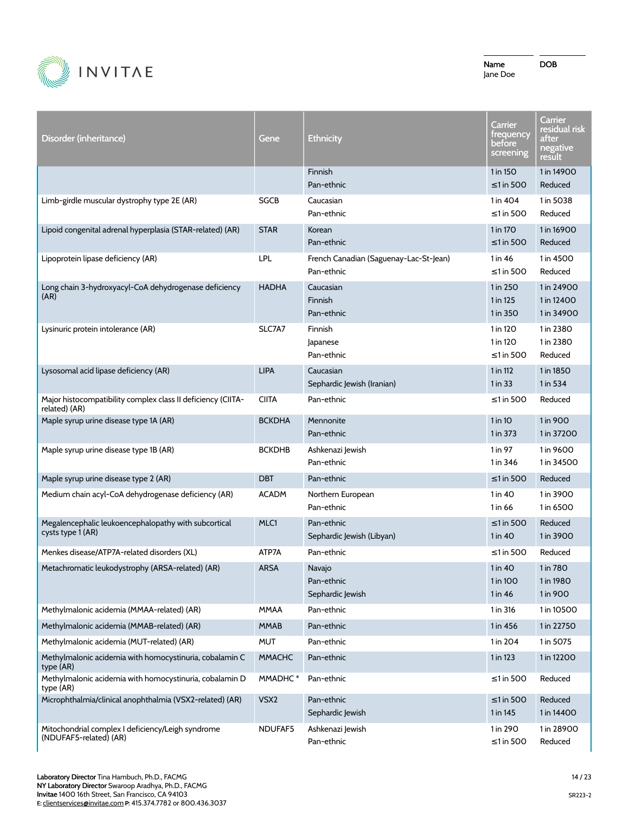

| Disorder (inheritance)                                                                                                          | Gene                     | <b>Ethnicity</b>                                     | <b>Carrier</b><br>trequency<br>before<br>screening | Carrier<br>residual risk<br>after<br>negative<br>result |
|---------------------------------------------------------------------------------------------------------------------------------|--------------------------|------------------------------------------------------|----------------------------------------------------|---------------------------------------------------------|
|                                                                                                                                 |                          | Finnish<br>Pan-ethnic                                | 1 in 150<br>$\leq$ 1 in 500                        | 1 in 14900<br>Reduced                                   |
| Limb-girdle muscular dystrophy type 2E (AR)                                                                                     | <b>SGCB</b>              | Caucasian<br>Pan-ethnic                              | 1 in 404<br>$\leq$ 1 in 500                        | 1 in 5038<br>Reduced                                    |
| Lipoid congenital adrenal hyperplasia (STAR-related) (AR)                                                                       | <b>STAR</b>              | Korean<br>Pan-ethnic                                 | 1 in 170<br>≤1 in 500                              | 1 in 16900<br>Reduced                                   |
| Lipoprotein lipase deficiency (AR)                                                                                              | LPL                      | French Canadian (Saguenay-Lac-St-Jean)<br>Pan-ethnic | 1 in 46<br>$\leq$ 1 in 500                         | 1 in 4500<br>Reduced                                    |
| Long chain 3-hydroxyacyl-CoA dehydrogenase deficiency<br>(AR)                                                                   | <b>HADHA</b>             | Caucasian<br>Finnish<br>Pan-ethnic                   | 1 in 250<br>1 in 125<br>1 in 350                   | 1 in 24900<br>1 in 12400<br>1 in 34900                  |
| Lysinuric protein intolerance (AR)                                                                                              | SLC7A7                   | Finnish<br>Japanese<br>Pan-ethnic                    | 1 in 120<br>1 in 120<br>$\leq$ 1 in 500            | 1 in 2380<br>1 in 2380<br>Reduced                       |
| Lysosomal acid lipase deficiency (AR)                                                                                           | <b>LIPA</b>              | Caucasian<br>Sephardic Jewish (Iranian)              | 1 in 112<br>$1$ in $33$                            | 1 in 1850<br>1 in 534                                   |
| Major histocompatibility complex class II deficiency (CIITA-<br>related) (AR)                                                   | <b>CIITA</b>             | Pan-ethnic                                           | ≤1 in 500                                          | Reduced                                                 |
| Maple syrup urine disease type 1A (AR)                                                                                          | <b>BCKDHA</b>            | Mennonite<br>Pan-ethnic                              | $1$ in 10<br>1 in 373                              | 1 in 900<br>1 in 37200                                  |
| Maple syrup urine disease type 1B (AR)                                                                                          | <b>BCKDHB</b>            | Ashkenazi Jewish<br>Pan-ethnic                       | $1$ in 97<br>1 in 346                              | 1 in 9600<br>1 in 34500                                 |
| Maple syrup urine disease type 2 (AR)                                                                                           | <b>DBT</b>               | Pan-ethnic                                           | $\leq$ 1 in 500                                    | Reduced                                                 |
| Medium chain acyl-CoA dehydrogenase deficiency (AR)                                                                             | <b>ACADM</b>             | Northern European<br>Pan-ethnic                      | 1 in 40<br>1 in 66                                 | 1 in 3900<br>1 in 6500                                  |
| Megalencephalic leukoencephalopathy with subcortical<br>cysts type 1 (AR)                                                       | MLC1                     | Pan-ethnic<br>Sephardic Jewish (Libyan)              | ≤1 in 500<br>1 in 40                               | Reduced<br>1 in 3900                                    |
| Menkes disease/ATP7A-related disorders (XL)                                                                                     | ATP7A                    | Pan-ethnic                                           | $\leq$ 1 in 500                                    | Reduced                                                 |
| Metachromatic leukodystrophy (ARSA-related) (AR)                                                                                | <b>ARSA</b>              | Navajo<br>Pan-ethnic<br>Sephardic Jewish             | 1 in 40<br>1 in 100<br>1 in 46                     | 1 in 780<br>1 in 1980<br>1 in 900                       |
| Methylmalonic acidemia (MMAA-related) (AR)                                                                                      | <b>MMAA</b>              | Pan-ethnic                                           | 1 in 316                                           | 1 in 10500                                              |
| Methylmalonic acidemia (MMAB-related) (AR)                                                                                      | <b>MMAB</b>              | Pan-ethnic                                           | 1 in 456                                           | 1 in 22750                                              |
| Methylmalonic acidemia (MUT-related) (AR)                                                                                       | <b>MUT</b>               | Pan-ethnic                                           | 1 in 204                                           | 1 in 5075                                               |
| Methylmalonic acidemia with homocystinuria, cobalamin C<br>type (AR)<br>Methylmalonic acidemia with homocystinuria, cobalamin D | <b>MMACHC</b><br>MMADHC* | Pan-ethnic                                           | 1 in 123                                           | 1 in 12200                                              |
| type (AR)                                                                                                                       |                          | Pan-ethnic                                           | $\leq$ 1 in 500                                    | Reduced                                                 |
| Microphthalmia/clinical anophthalmia (VSX2-related) (AR)                                                                        | VSX2                     | Pan-ethnic<br>Sephardic Jewish                       | $\leq$ 1 in 500<br>1 in 145                        | Reduced<br>1 in 14400                                   |
| Mitochondrial complex I deficiency/Leigh syndrome<br>(NDUFAF5-related) (AR)                                                     | NDUFAF5                  | Ashkenazi Jewish<br>Pan-ethnic                       | 1 in 290<br>$\leq$ 1 in 500                        | 1 in 28900<br>Reduced                                   |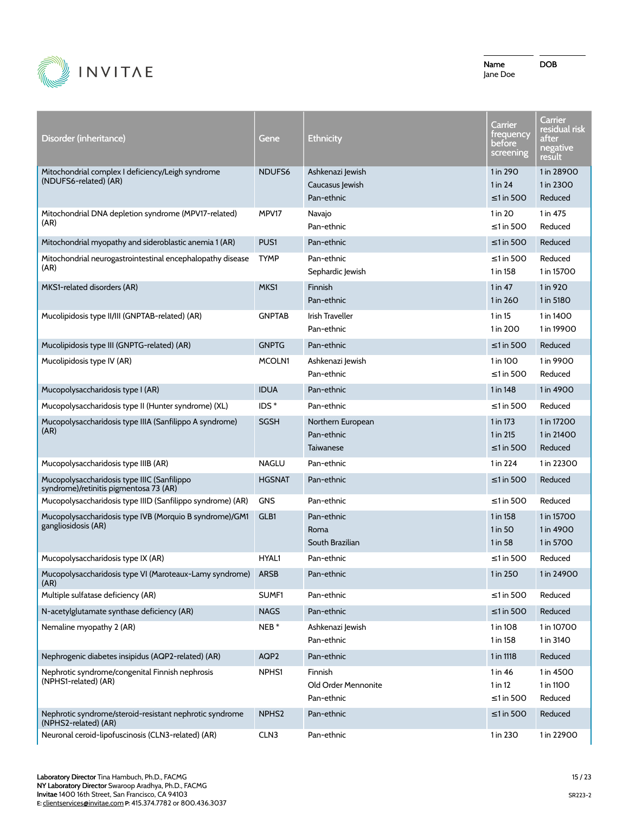

| Disorder (inheritance)                                                                | Gene              | <b>Ethnicity</b>                                  | <b>Carrier</b><br>trequency<br>before<br>screening | Carrier<br>residual risk<br>after<br>negative<br>result |
|---------------------------------------------------------------------------------------|-------------------|---------------------------------------------------|----------------------------------------------------|---------------------------------------------------------|
| Mitochondrial complex I deficiency/Leigh syndrome<br>(NDUFS6-related) (AR)            | NDUFS6            | Ashkenazi Jewish<br>Caucasus Jewish<br>Pan-ethnic | 1 in 290<br>1 in 24<br>$\leq$ 1 in 500             | 1 in 28900<br>1 in 2300<br>Reduced                      |
| Mitochondrial DNA depletion syndrome (MPV17-related)<br>(AR)                          | MPV17             | Navajo<br>Pan-ethnic                              | 1 in 20<br>$\leq$ 1 in 500                         | 1 in 475<br>Reduced                                     |
| Mitochondrial myopathy and sideroblastic anemia 1 (AR)                                | PUS1              | Pan-ethnic                                        | $\leq$ 1 in 500                                    | Reduced                                                 |
| Mitochondrial neurogastrointestinal encephalopathy disease<br>(AR)                    | <b>TYMP</b>       | Pan-ethnic<br>Sephardic Jewish                    | ≤1 in 500<br>1 in 158                              | Reduced<br>1 in 15700                                   |
| MKS1-related disorders (AR)                                                           | MKS1              | Finnish<br>Pan-ethnic                             | $1$ in $47$<br>1 in 260                            | 1 in 920<br>1 in 5180                                   |
| Mucolipidosis type II/III (GNPTAB-related) (AR)                                       | <b>GNPTAB</b>     | <b>Irish Traveller</b><br>Pan-ethnic              | $1$ in $15$<br>1 in 200                            | 1 in 1400<br>1 in 19900                                 |
| Mucolipidosis type III (GNPTG-related) (AR)                                           | <b>GNPTG</b>      | Pan-ethnic                                        | $\leq$ 1 in 500                                    | Reduced                                                 |
| Mucolipidosis type IV (AR)                                                            | MCOLN1            | Ashkenazi Jewish<br>Pan-ethnic                    | 1 in 100<br>≤1 in 500                              | 1 in 9900<br>Reduced                                    |
| Mucopolysaccharidosis type I (AR)                                                     | <b>IDUA</b>       | Pan-ethnic                                        | 1 in 148                                           | 1 in 4900                                               |
| Mucopolysaccharidosis type II (Hunter syndrome) (XL)                                  | $IDS^*$           | Pan-ethnic                                        | ≤1 in 500                                          | Reduced                                                 |
| Mucopolysaccharidosis type IIIA (Sanfilippo A syndrome)<br>(AR)                       | <b>SGSH</b>       | Northern European<br>Pan-ethnic<br>Taiwanese      | 1 in 173<br>1 in 215<br>$\leq$ 1 in 500            | 1 in 17200<br>1 in 21400<br>Reduced                     |
| Mucopolysaccharidosis type IIIB (AR)                                                  | <b>NAGLU</b>      | Pan-ethnic                                        | 1 in 224                                           | 1 in 22300                                              |
| Mucopolysaccharidosis type IIIC (Sanfilippo<br>syndrome)/retinitis pigmentosa 73 (AR) | <b>HGSNAT</b>     | Pan-ethnic                                        | $\leq$ 1 in 500                                    | Reduced                                                 |
| Mucopolysaccharidosis type IIID (Sanfilippo syndrome) (AR)                            | <b>GNS</b>        | Pan-ethnic                                        | ≤1 in 500                                          | Reduced                                                 |
| Mucopolysaccharidosis type IVB (Morquio B syndrome)/GM1<br>gangliosidosis (AR)        | GLB1              | Pan-ethnic<br>Roma<br>South Brazilian             | 1 in 158<br>1 in 50<br>1 in 58                     | 1 in 15700<br>1 in 4900<br>1 in 5700                    |
| Mucopolysaccharidosis type IX (AR)                                                    | HYAL1             | Pan-ethnic                                        | ≤1 in 500                                          | Reduced                                                 |
| Mucopolysaccharidosis type VI (Maroteaux-Lamy syndrome) ARSB<br>(AR)                  |                   | Pan-ethnic                                        | 1 in 250                                           | 1 in 24900                                              |
| Multiple sulfatase deficiency (AR)                                                    | SUMF1             | Pan-ethnic                                        | $\leq$ 1 in 500                                    | Reduced                                                 |
| N-acetylglutamate synthase deficiency (AR)                                            | <b>NAGS</b>       | Pan-ethnic                                        | $\leq$ 1 in 500                                    | Reduced                                                 |
| Nemaline myopathy 2 (AR)                                                              | $NEB*$            | Ashkenazi Jewish<br>Pan-ethnic                    | 1 in 108<br>1 in 158                               | 1 in 10700<br>1 in 3140                                 |
| Nephrogenic diabetes insipidus (AQP2-related) (AR)                                    | AQP2              | Pan-ethnic                                        | 1 in 1118                                          | Reduced                                                 |
| Nephrotic syndrome/congenital Finnish nephrosis<br>(NPHS1-related) (AR)               | NPHS1             | Finnish<br>Old Order Mennonite<br>Pan-ethnic      | 1 in 46<br>1 in 12<br>≤1 in 500                    | 1 in 4500<br>1 in 1100<br>Reduced                       |
| Nephrotic syndrome/steroid-resistant nephrotic syndrome<br>(NPHS2-related) (AR)       | NPHS <sub>2</sub> | Pan-ethnic                                        | $\leq 1$ in 500                                    | Reduced                                                 |
| Neuronal ceroid-lipofuscinosis (CLN3-related) (AR)                                    | CLN3              | Pan-ethnic                                        | 1 in 230                                           | 1 in 22900                                              |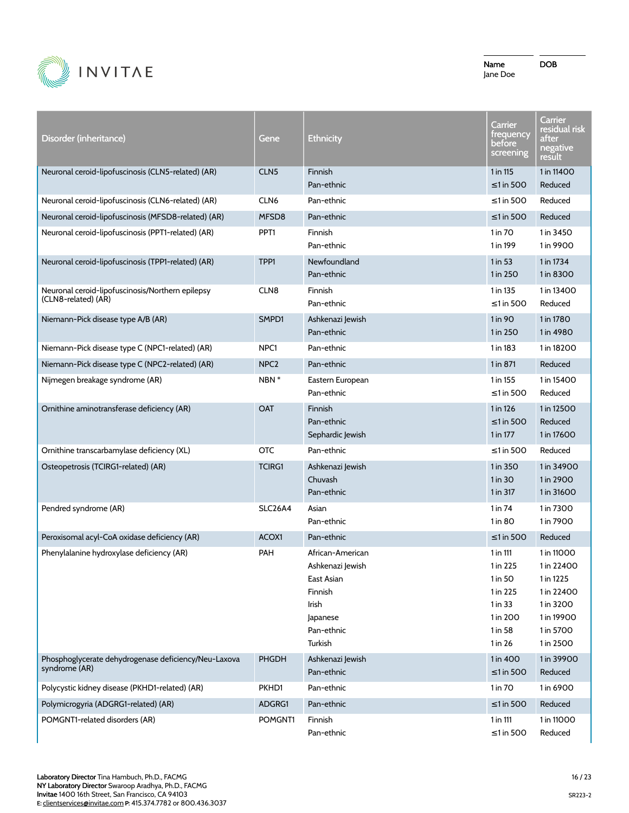

DOB

**Carrier** 

| Disorder (inheritance)                                                  | Gene             | <b>Ethnicity</b>                                                                                            | Carrier<br>frequency<br>before<br>screening                                                | Carrier<br>residual risk<br>after<br>negative<br>result                                                  |
|-------------------------------------------------------------------------|------------------|-------------------------------------------------------------------------------------------------------------|--------------------------------------------------------------------------------------------|----------------------------------------------------------------------------------------------------------|
| Neuronal ceroid-lipofuscinosis (CLN5-related) (AR)                      | CLN <sub>5</sub> | Finnish<br>Pan-ethnic                                                                                       | 1 in 115<br>≤1 in 500                                                                      | 1 in 11400<br>Reduced                                                                                    |
| Neuronal ceroid-lipofuscinosis (CLN6-related) (AR)                      | CLN <sub>6</sub> | Pan-ethnic                                                                                                  | ≤1 in 500                                                                                  | Reduced                                                                                                  |
| Neuronal ceroid-lipofuscinosis (MFSD8-related) (AR)                     | MFSD8            | Pan-ethnic                                                                                                  | $\leq$ 1 in 500                                                                            | Reduced                                                                                                  |
| Neuronal ceroid-lipofuscinosis (PPT1-related) (AR)                      | PPT <sub>1</sub> | Finnish<br>Pan-ethnic                                                                                       | 1 in 70<br>1 in 199                                                                        | 1 in 3450<br>1 in 9900                                                                                   |
| Neuronal ceroid-lipofuscinosis (TPP1-related) (AR)                      | TPP1             | Newfoundland<br>Pan-ethnic                                                                                  | 1 in 53<br>1 in 250                                                                        | 1 in 1734<br>1 in 8300                                                                                   |
| Neuronal ceroid-lipofuscinosis/Northern epilepsy<br>(CLN8-related) (AR) | CLN <sub>8</sub> | Finnish<br>Pan-ethnic                                                                                       | 1 in 135<br>$\leq$ 1 in 500                                                                | 1 in 13400<br>Reduced                                                                                    |
| Niemann-Pick disease type A/B (AR)                                      | SMPD1            | Ashkenazi Jewish<br>Pan-ethnic                                                                              | 1 in 90<br>1 in 250                                                                        | 1 in 1780<br>1 in 4980                                                                                   |
| Niemann-Pick disease type C (NPC1-related) (AR)                         | NPC <sub>1</sub> | Pan-ethnic                                                                                                  | 1 in 183                                                                                   | 1 in 18200                                                                                               |
| Niemann-Pick disease type C (NPC2-related) (AR)                         | NPC <sub>2</sub> | Pan-ethnic                                                                                                  | 1 in 871                                                                                   | Reduced                                                                                                  |
| Nijmegen breakage syndrome (AR)                                         | NBN *            | Eastern European<br>Pan-ethnic                                                                              | 1 in 155<br>≤1 in 500                                                                      | 1 in 15400<br>Reduced                                                                                    |
| Ornithine aminotransferase deficiency (AR)                              | <b>OAT</b>       | Finnish<br>Pan-ethnic<br>Sephardic Jewish                                                                   | 1 in 126<br>≤1 in 500<br>1 in 177                                                          | 1 in 12500<br>Reduced<br>1 in 17600                                                                      |
| Ornithine transcarbamylase deficiency (XL)                              | <b>OTC</b>       | Pan-ethnic                                                                                                  | ≤1 in 500                                                                                  | Reduced                                                                                                  |
| Osteopetrosis (TCIRG1-related) (AR)                                     | <b>TCIRG1</b>    | Ashkenazi Jewish<br>Chuvash<br>Pan-ethnic                                                                   | 1 in 350<br>1 in 30<br>1 in 317                                                            | 1 in 34900<br>1 in 2900<br>1 in 31600                                                                    |
| Pendred syndrome (AR)                                                   | SLC26A4          | Asian<br>Pan-ethnic                                                                                         | 1 in 74<br>1 in 80                                                                         | 1 in 7300<br>1 in 7900                                                                                   |
| Peroxisomal acyl-CoA oxidase deficiency (AR)                            | ACOX1            | Pan-ethnic                                                                                                  | $\leq$ 1 in 500                                                                            | Reduced                                                                                                  |
| Phenylalanine hydroxylase deficiency (AR)                               | PAH              | African-American<br>Ashkenazi Jewish<br>East Asian<br>Finnish<br>Irish<br>Japanese<br>Pan-ethnic<br>Turkish | 1 in 111<br>1 in 225<br>$1$ in 50<br>1 in 225<br>1 in 33<br>1 in 200<br>1 in 58<br>1 in 26 | 1 in 11000<br>1 in 22400<br>1 in 1225<br>1 in 22400<br>1 in 3200<br>1 in 19900<br>1 in 5700<br>1 in 2500 |
| Phosphoglycerate dehydrogenase deficiency/Neu-Laxova<br>syndrome (AR)   | <b>PHGDH</b>     | Ashkenazi Jewish<br>Pan-ethnic                                                                              | 1 in 400<br>≤1 in 500                                                                      | 1 in 39900<br>Reduced                                                                                    |
| Polycystic kidney disease (PKHD1-related) (AR)                          | PKHD1            | Pan-ethnic                                                                                                  | 1 in 70                                                                                    | 1 in 6900                                                                                                |
| Polymicrogyria (ADGRG1-related) (AR)                                    | ADGRG1           | Pan-ethnic                                                                                                  | $\leq$ 1 in 500                                                                            | Reduced                                                                                                  |
| POMGNT1-related disorders (AR)                                          | POMGNT1          | Finnish<br>Pan-ethnic                                                                                       | 1 in 111<br>$\leq$ 1 in 500                                                                | 1 in 11000<br>Reduced                                                                                    |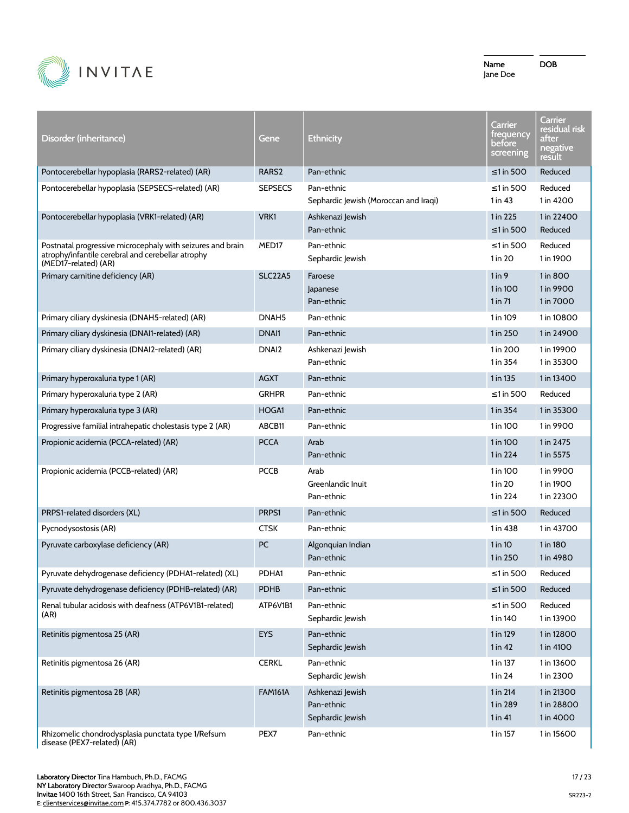

| Disorder (inheritance)                                                                                                                  | Gene              | Ethnicity                                           | Carrier<br>trequency<br>before<br>screening | Carrier<br>residual risk<br>after<br>negative<br>result |
|-----------------------------------------------------------------------------------------------------------------------------------------|-------------------|-----------------------------------------------------|---------------------------------------------|---------------------------------------------------------|
| Pontocerebellar hypoplasia (RARS2-related) (AR)                                                                                         | RARS <sub>2</sub> | Pan-ethnic                                          | $\leq$ 1 in 500                             | Reduced                                                 |
| Pontocerebellar hypoplasia (SEPSECS-related) (AR)                                                                                       | <b>SEPSECS</b>    | Pan-ethnic<br>Sephardic Jewish (Moroccan and Iraqi) | ≤1 in 500<br>1 in 43                        | Reduced<br>1 in 4200                                    |
| Pontocerebellar hypoplasia (VRK1-related) (AR)                                                                                          | VRK1              | Ashkenazi Jewish<br>Pan-ethnic                      | 1 in 225<br>$\leq$ 1 in 500                 | 1 in 22400<br>Reduced                                   |
| Postnatal progressive microcephaly with seizures and brain<br>atrophy/infantile cerebral and cerebellar atrophy<br>(MED17-related) (AR) | MED <sub>17</sub> | Pan-ethnic<br>Sephardic Jewish                      | $\leq$ 1 in 500<br>1 in 20                  | Reduced<br>1 in 1900                                    |
| Primary carnitine deficiency (AR)                                                                                                       | <b>SLC22A5</b>    | Faroese<br>Japanese<br>Pan-ethnic                   | $1$ in $9$<br>1 in 100<br>1 in 71           | 1 in 800<br>1 in 9900<br>1 in 7000                      |
| Primary ciliary dyskinesia (DNAH5-related) (AR)                                                                                         | DNAH <sub>5</sub> | Pan-ethnic                                          | 1 in 109                                    | 1 in 10800                                              |
| Primary ciliary dyskinesia (DNAI1-related) (AR)                                                                                         | DNAI1             | Pan-ethnic                                          | 1 in 250                                    | 1 in 24900                                              |
| Primary ciliary dyskinesia (DNAI2-related) (AR)                                                                                         | DNAI <sub>2</sub> | Ashkenazi Jewish<br>Pan-ethnic                      | 1 in 200<br>1 in 354                        | 1 in 19900<br>1 in 35300                                |
| Primary hyperoxaluria type 1 (AR)                                                                                                       | <b>AGXT</b>       | Pan-ethnic                                          | 1 in 135                                    | 1 in 13400                                              |
| Primary hyperoxaluria type 2 (AR)                                                                                                       | <b>GRHPR</b>      | Pan-ethnic                                          | ≤1 in 500                                   | Reduced                                                 |
| Primary hyperoxaluria type 3 (AR)                                                                                                       | HOGA1             | Pan-ethnic                                          | 1 in 354                                    | 1 in 35300                                              |
| Progressive familial intrahepatic cholestasis type 2 (AR)                                                                               | ABCB11            | Pan-ethnic                                          | 1 in 100                                    | 1 in 9900                                               |
| Propionic acidemia (PCCA-related) (AR)                                                                                                  | <b>PCCA</b>       | Arab<br>Pan-ethnic                                  | 1 in 100<br>1 in 224                        | 1 in 2475<br>1 in 5575                                  |
| Propionic acidemia (PCCB-related) (AR)                                                                                                  | <b>PCCB</b>       | Arab<br>Greenlandic Inuit<br>Pan-ethnic             | 1 in 100<br>1 in 20<br>1 in 224             | 1 in 9900<br>1 in 1900<br>1 in 22300                    |
| PRPS1-related disorders (XL)                                                                                                            | PRPS1             | Pan-ethnic                                          | ≤1 in 500                                   | Reduced                                                 |
| Pycnodysostosis (AR)                                                                                                                    | <b>CTSK</b>       | Pan-ethnic                                          | 1 in 438                                    | 1 in 43700                                              |
| Pyruvate carboxylase deficiency (AR)                                                                                                    | PC                | Algonquian Indian<br>Pan-ethnic                     | $1$ in $10$<br>1 in 250                     | 1 in 180<br>1 in 4980                                   |
| Pyruvate dehydrogenase deficiency (PDHA1-related) (XL)                                                                                  | PDHA1             | Pan-ethnic                                          | ≤1 in 500                                   | Reduced                                                 |
| Pyruvate dehydrogenase deficiency (PDHB-related) (AR)                                                                                   | <b>PDHB</b>       | Pan-ethnic                                          | ≤1 in 500                                   | Reduced                                                 |
| Renal tubular acidosis with deafness (ATP6V1B1-related)<br>(AR)                                                                         | ATP6V1B1          | Pan-ethnic<br>Sephardic Jewish                      | ≤1 in 500<br>1 in 140                       | Reduced<br>1 in 13900                                   |
| Retinitis pigmentosa 25 (AR)                                                                                                            | <b>EYS</b>        | Pan-ethnic<br>Sephardic Jewish                      | 1 in 129<br>1 in 42                         | 1 in 12800<br>1 in 4100                                 |
| Retinitis pigmentosa 26 (AR)                                                                                                            | <b>CERKL</b>      | Pan-ethnic<br>Sephardic Jewish                      | 1 in 137<br>1 in 24                         | 1 in 13600<br>1 in 2300                                 |
| Retinitis pigmentosa 28 (AR)                                                                                                            | <b>FAM161A</b>    | Ashkenazi Jewish<br>Pan-ethnic<br>Sephardic Jewish  | 1 in 214<br>1 in 289<br>1 in 41             | 1 in 21300<br>1 in 28800<br>1 in 4000                   |
| Rhizomelic chondrodysplasia punctata type 1/Refsum<br>disease (PEX7-related) (AR)                                                       | PEX7              | Pan-ethnic                                          | 1 in 157                                    | 1 in 15600                                              |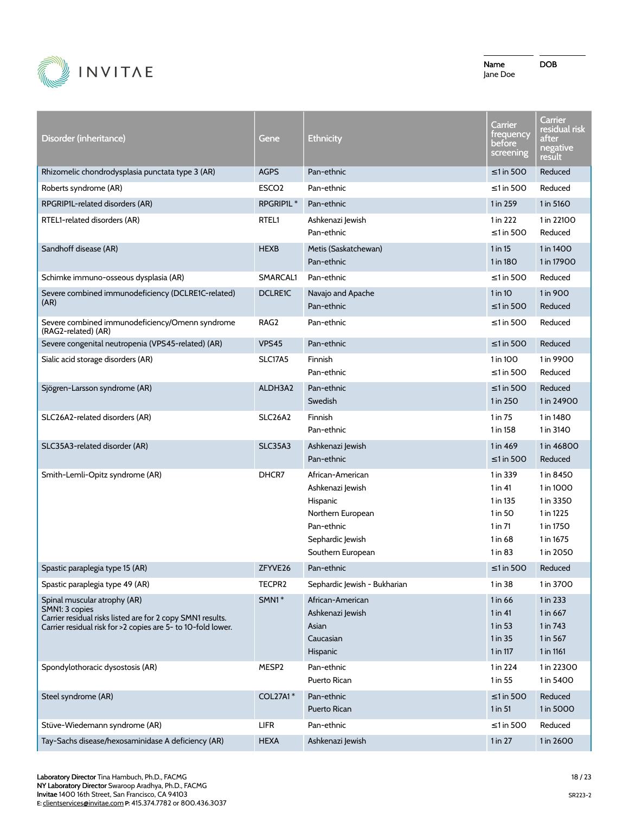

| Disorder (inheritance)                                                                                                                                                       | Gene                  | Ethnicity                                                                                                                    | Carrier<br>trequency<br>before<br>screening                                         | Carrier<br>residual risk<br>after<br>negative<br>result                                 |
|------------------------------------------------------------------------------------------------------------------------------------------------------------------------------|-----------------------|------------------------------------------------------------------------------------------------------------------------------|-------------------------------------------------------------------------------------|-----------------------------------------------------------------------------------------|
| Rhizomelic chondrodysplasia punctata type 3 (AR)                                                                                                                             | <b>AGPS</b>           | Pan-ethnic                                                                                                                   | $\leq$ 1 in 500                                                                     | Reduced                                                                                 |
| Roberts syndrome (AR)                                                                                                                                                        | ESCO <sub>2</sub>     | Pan-ethnic                                                                                                                   | ≤1 in 500                                                                           | Reduced                                                                                 |
| RPGRIP1L-related disorders (AR)                                                                                                                                              | RPGRIP1L <sup>*</sup> | Pan-ethnic                                                                                                                   | 1 in 259                                                                            | 1 in 5160                                                                               |
| RTEL1-related disorders (AR)                                                                                                                                                 | RTEL1                 | Ashkenazi Jewish<br>Pan-ethnic                                                                                               | 1 in 222<br>≤1 in 500                                                               | 1 in 22100<br>Reduced                                                                   |
| Sandhoff disease (AR)                                                                                                                                                        | <b>HEXB</b>           | Metis (Saskatchewan)<br>Pan-ethnic                                                                                           | $1$ in $15$<br>1 in 180                                                             | 1 in 1400<br>1 in 17900                                                                 |
| Schimke immuno-osseous dysplasia (AR)                                                                                                                                        | SMARCAL1              | Pan-ethnic                                                                                                                   | ≤1 in 500                                                                           | Reduced                                                                                 |
| Severe combined immunodeficiency (DCLRE1C-related)<br>(AR)                                                                                                                   | <b>DCLRE1C</b>        | Navajo and Apache<br>Pan-ethnic                                                                                              | $1$ in $10$<br>$\leq$ 1 in 500                                                      | 1 in 900<br>Reduced                                                                     |
| Severe combined immunodeficiency/Omenn syndrome<br>(RAG2-related) (AR)                                                                                                       | RAG <sub>2</sub>      | Pan-ethnic                                                                                                                   | ≤1 in 500                                                                           | Reduced                                                                                 |
| Severe congenital neutropenia (VPS45-related) (AR)                                                                                                                           | <b>VPS45</b>          | Pan-ethnic                                                                                                                   | $\leq$ 1 in 500                                                                     | Reduced                                                                                 |
| Sialic acid storage disorders (AR)                                                                                                                                           | SLC17A5               | Finnish<br>Pan-ethnic                                                                                                        | 1 in 100<br>$\leq$ 1 in 500                                                         | 1 in 9900<br>Reduced                                                                    |
| Sjögren-Larsson syndrome (AR)                                                                                                                                                | ALDH3A2               | Pan-ethnic<br>Swedish                                                                                                        | $\leq$ 1 in 500<br>1 in 250                                                         | Reduced<br>1 in 24900                                                                   |
| SLC26A2-related disorders (AR)                                                                                                                                               | SLC26A2               | Finnish<br>Pan-ethnic                                                                                                        | 1 in 75<br>1 in 158                                                                 | 1 in 1480<br>1 in 3140                                                                  |
| SLC35A3-related disorder (AR)                                                                                                                                                | <b>SLC35A3</b>        | Ashkenazi Jewish<br>Pan-ethnic                                                                                               | 1 in 469<br>$\leq$ 1 in 500                                                         | 1 in 46800<br>Reduced                                                                   |
| Smith-Lemli-Opitz syndrome (AR)                                                                                                                                              | DHCR7                 | African-American<br>Ashkenazi Jewish<br>Hispanic<br>Northern European<br>Pan-ethnic<br>Sephardic Jewish<br>Southern European | 1 in 339<br>$1$ in 41<br>1 in 135<br>1 in 50<br>$1$ in $71$<br>1 in 68<br>$1$ in 83 | 1 in 8450<br>1 in 1000<br>1 in 3350<br>1 in 1225<br>1 in 1750<br>1 in 1675<br>1 in 2050 |
| Spastic paraplegia type 15 (AR)                                                                                                                                              | ZFYVE <sub>26</sub>   | Pan-ethnic                                                                                                                   | $\leq$ 1 in 500                                                                     | Reduced                                                                                 |
| Spastic paraplegia type 49 (AR)                                                                                                                                              | TECPR2                | Sephardic Jewish - Bukharian                                                                                                 | 1 in 38                                                                             | 1 in 3700                                                                               |
| Spinal muscular atrophy (AR)<br>SMN1: 3 copies<br>Carrier residual risks listed are for 2 copy SMN1 results.<br>Carrier residual risk for >2 copies are 5- to 10-fold lower. | SMN1*                 | African-American<br>Ashkenazi Jewish<br>Asian<br>Caucasian<br>Hispanic                                                       | 1 in 66<br>$1$ in $41$<br>1 in 53<br>1 in 35<br>1 in 117                            | 1 in 233<br>1 in 667<br>1 in 743<br>1 in 567<br>1 in 1161                               |
| Spondylothoracic dysostosis (AR)                                                                                                                                             | MESP2                 | Pan-ethnic<br>Puerto Rican                                                                                                   | 1 in 224<br>$1$ in 55                                                               | 1 in 22300<br>1 in 5400                                                                 |
| Steel syndrome (AR)                                                                                                                                                          | <b>COL27A1*</b>       | Pan-ethnic<br>Puerto Rican                                                                                                   | $\leq$ 1 in 500<br>1 in 51                                                          | Reduced<br>1 in 5000                                                                    |
| Stüve-Wiedemann syndrome (AR)                                                                                                                                                | LIFR                  | Pan-ethnic                                                                                                                   | $\leq$ 1 in 500                                                                     | Reduced                                                                                 |
| Tay-Sachs disease/hexosaminidase A deficiency (AR)                                                                                                                           | <b>HEXA</b>           | Ashkenazi Jewish                                                                                                             | 1 in 27                                                                             | 1 in 2600                                                                               |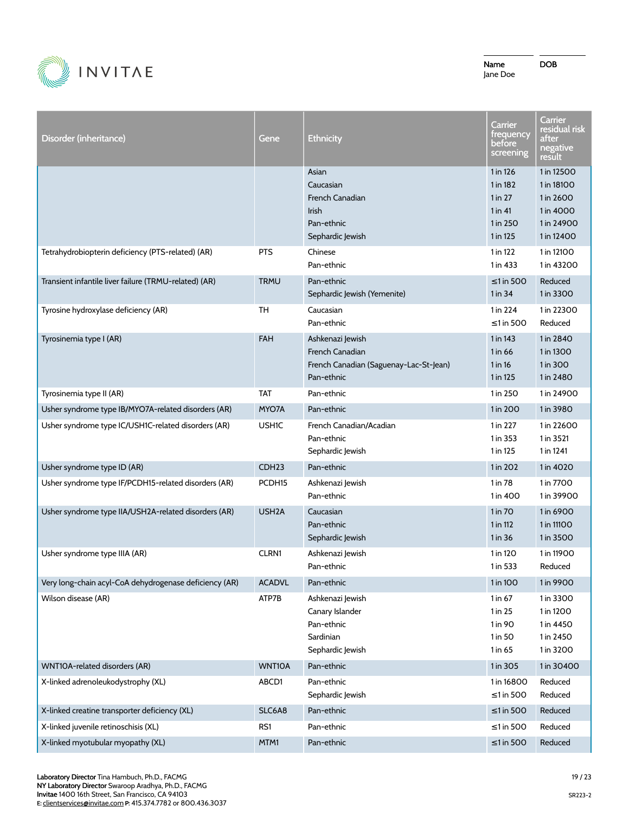

| Disorder (inheritance)                                 | Gene               | <b>Ethnicity</b>                                                                            | Carrier<br>frequency<br>before<br>screening                              | Carrier<br>residual risk<br>after<br>negative<br>result                        |
|--------------------------------------------------------|--------------------|---------------------------------------------------------------------------------------------|--------------------------------------------------------------------------|--------------------------------------------------------------------------------|
|                                                        |                    | Asian<br>Caucasian<br>French Canadian<br>Irish<br>Pan-ethnic<br>Sephardic Jewish            | 1 in 126<br>1 in 182<br>$1$ in $27$<br>$1$ in 41<br>1 in 250<br>1 in 125 | 1 in 12500<br>1 in 18100<br>1 in 2600<br>1 in 4000<br>1 in 24900<br>1 in 12400 |
| Tetrahydrobiopterin deficiency (PTS-related) (AR)      | <b>PTS</b>         | Chinese<br>Pan-ethnic                                                                       | 1 in 122<br>1 in 433                                                     | 1 in 12100<br>1 in 43200                                                       |
| Transient infantile liver failure (TRMU-related) (AR)  | <b>TRMU</b>        | Pan-ethnic<br>Sephardic Jewish (Yemenite)                                                   | $\leq$ 1 in 500<br>1 in 34                                               | Reduced<br>1 in 3300                                                           |
| Tyrosine hydroxylase deficiency (AR)                   | <b>TH</b>          | Caucasian<br>Pan-ethnic                                                                     | 1 in 224<br>$\leq$ 1 in 500                                              | 1 in 22300<br>Reduced                                                          |
| Tyrosinemia type I (AR)                                | <b>FAH</b>         | Ashkenazi Jewish<br>French Canadian<br>French Canadian (Saguenay-Lac-St-Jean)<br>Pan-ethnic | 1 in 143<br>1 in 66<br>1 in 16<br>1 in 125                               | 1 in 2840<br>1 in 1300<br>1 in 300<br>1 in 2480                                |
| Tyrosinemia type II (AR)                               | TAT                | Pan-ethnic                                                                                  | 1 in 250                                                                 | 1 in 24900                                                                     |
| Usher syndrome type IB/MYO7A-related disorders (AR)    | MYO7A              | Pan-ethnic                                                                                  | 1 in 200                                                                 | 1 in 3980                                                                      |
| Usher syndrome type IC/USH1C-related disorders (AR)    | <b>USH1C</b>       | French Canadian/Acadian<br>Pan-ethnic<br>Sephardic Jewish                                   | 1 in 227<br>1 in 353<br>1 in 125                                         | 1 in 22600<br>1 in 3521<br>1 in 1241                                           |
| Usher syndrome type ID (AR)                            | CDH <sub>23</sub>  | Pan-ethnic                                                                                  | 1 in 202                                                                 | 1 in 4020                                                                      |
| Usher syndrome type IF/PCDH15-related disorders (AR)   | PCDH <sub>15</sub> | Ashkenazi Jewish<br>Pan-ethnic                                                              | 1 in 78<br>1 in 400                                                      | 1 in 7700<br>1 in 39900                                                        |
| Usher syndrome type IIA/USH2A-related disorders (AR)   | USH <sub>2</sub> A | Caucasian<br>Pan-ethnic<br>Sephardic Jewish                                                 | 1 in 70<br>1 in 112<br>$1$ in 36                                         | 1 in 6900<br>1 in 11100<br>1 in 3500                                           |
| Usher syndrome type IIIA (AR)                          | <b>CLRN1</b>       | Ashkenazi Jewish<br>Pan-ethnic                                                              | 1 in 120<br>1 in 533                                                     | 1 in 11900<br>Reduced                                                          |
| Very long-chain acyl-CoA dehydrogenase deficiency (AR) | <b>ACADVL</b>      | Pan-ethnic                                                                                  | 1 in 100                                                                 | 1 in 9900                                                                      |
| Wilson disease (AR)                                    | ATP7B              | Ashkenazi Jewish<br>Canary Islander<br>Pan-ethnic<br>Sardinian<br>Sephardic Jewish          | 1 in 67<br>1 in 25<br>1 in 90<br>1 in 50<br>1 in 65                      | 1 in 3300<br>1 in 1200<br>1 in 4450<br>1 in 2450<br>1 in 3200                  |
| WNT10A-related disorders (AR)                          | WNT10A             | Pan-ethnic                                                                                  | 1 in 305                                                                 | 1 in 30400                                                                     |
| X-linked adrenoleukodystrophy (XL)                     | ABCD1              | Pan-ethnic<br>Sephardic Jewish                                                              | 1 in 16800<br>$\leq$ 1 in 500                                            | Reduced<br>Reduced                                                             |
| X-linked creatine transporter deficiency (XL)          | SLC6A8             | Pan-ethnic                                                                                  | $\leq$ 1 in 500                                                          | Reduced                                                                        |
| X-linked juvenile retinoschisis (XL)                   | RS1                | Pan-ethnic                                                                                  | $\leq 1$ in 500                                                          | Reduced                                                                        |
| X-linked myotubular myopathy (XL)                      | MTM1               | Pan-ethnic                                                                                  | $\leq 1$ in 500                                                          | Reduced                                                                        |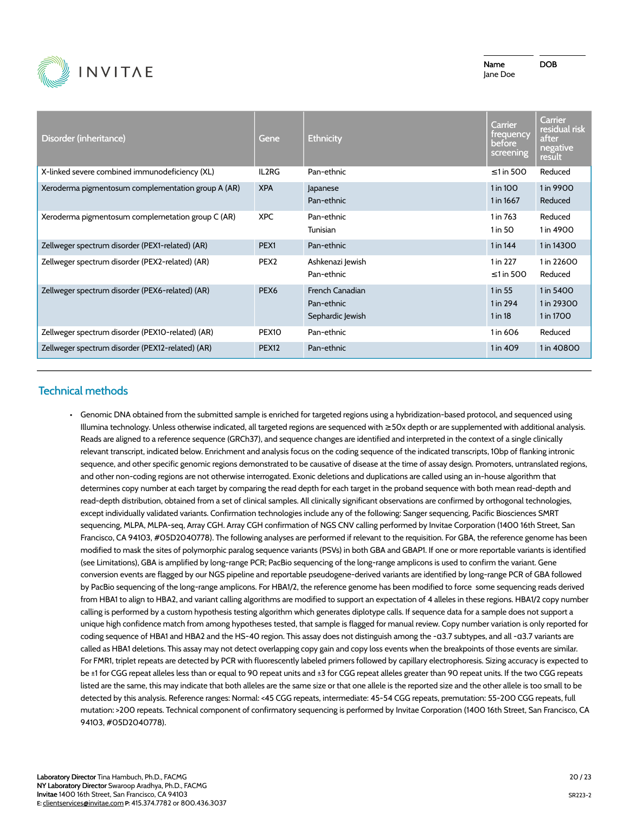

Name Jane Doe DOB

| Disorder (inheritance)                             | Gene              | <b>Ethnicity</b>                                  | <b>Carrier</b><br>trequency<br><b>before</b><br>screening | Carrier<br>residual risk<br>after<br>negative<br>result |
|----------------------------------------------------|-------------------|---------------------------------------------------|-----------------------------------------------------------|---------------------------------------------------------|
| X-linked severe combined immunodeficiency (XL)     | IL2RG             | Pan-ethnic                                        | $\leq$ 1 in 500                                           | Reduced                                                 |
| Xeroderma pigmentosum complementation group A (AR) | <b>XPA</b>        | Japanese<br>Pan-ethnic                            | 1 in 100<br>1 in 1667                                     | 1 in 9900<br>Reduced                                    |
| Xeroderma pigmentosum complemetation group C (AR)  | <b>XPC</b>        | Pan-ethnic<br>Tunisian                            | 1 in 763<br>1 in 50                                       | Reduced<br>1 in 4900                                    |
| Zellweger spectrum disorder (PEX1-related) (AR)    | PEX <sub>1</sub>  | Pan-ethnic                                        | 1 in 144                                                  | 1 in 14300                                              |
| Zellweger spectrum disorder (PEX2-related) (AR)    | PEX <sub>2</sub>  | Ashkenazi Jewish<br>Pan-ethnic                    | 1 in 227<br>$\leq$ 1 in 500                               | 1 in 22600<br>Reduced                                   |
| Zellweger spectrum disorder (PEX6-related) (AR)    | PEX <sub>6</sub>  | French Canadian<br>Pan-ethnic<br>Sephardic Jewish | 1 in 55<br>1 in 294<br>$1$ in 18                          | 1 in 5400<br>1 in 29300<br>1 in 1700                    |
| Zellweger spectrum disorder (PEX10-related) (AR)   | PEX <sub>10</sub> | Pan-ethnic                                        | 1 in 606                                                  | Reduced                                                 |
| Zellweger spectrum disorder (PEX12-related) (AR)   | <b>PEX12</b>      | Pan-ethnic                                        | 1 in 409                                                  | 1 in 40800                                              |

# **Technical methods**

• Genomic DNA obtained from the submitted sample is enriched for targeted regions using a hybridization-based protocol, and sequenced using Illumina technology. Unless otherwise indicated, all targeted regions are sequenced with ≥50x depth or are supplemented with additional analysis. Reads are aligned to a reference sequence (GRCh37), and sequence changes are identified and interpreted in the context of a single clinically relevant transcript, indicated below. Enrichment and analysis focus on the coding sequence of the indicated transcripts, 10bp of flanking intronic sequence, and other specific genomic regions demonstrated to be causative of disease at the time of assay design. Promoters, untranslated regions, and other non-coding regions are not otherwise interrogated. Exonic deletions and duplications are called using an in-house algorithm that determines copy number at each target by comparing the read depth for each target in the proband sequence with both mean read-depth and read-depth distribution, obtained from a set of clinical samples. All clinically significant observations are confirmed by orthogonal technologies, except individually validated variants. Confirmation technologies include any of the following: Sanger sequencing, Pacific Biosciences SMRT sequencing, MLPA, MLPA-seq, Array CGH. Array CGH confirmation of NGS CNV calling performed by Invitae Corporation (1400 16th Street, San Francisco, CA 94103, #05D2040778). The following analyses are performed if relevant to the requisition. For GBA, the reference genome has been modified to mask the sites of polymorphic paralog sequence variants (PSVs) in both GBA and GBAP1. If one or more reportable variants is identified (see Limitations), GBA is amplified by long-range PCR; PacBio sequencing of the long-range amplicons is used to confirm the variant. Gene conversion events are flagged by our NGS pipeline and reportable pseudogene-derived variants are identified by long-range PCR of GBA followed by PacBio sequencing of the long-range amplicons. For HBA1/2, the reference genome has been modified to force some sequencing reads derived from HBA1 to align to HBA2, and variant calling algorithms are modified to support an expectation of 4 alleles in these regions. HBA1/2 copy number calling is performed by a custom hypothesis testing algorithm which generates diplotype calls. If sequence data for a sample does not support a unique high confidence match from among hypotheses tested, that sample is flagged for manual review. Copy number variation is only reported for coding sequence of HBA1 and HBA2 and the HS-40 region. This assay does not distinguish among the -ɑ3.7 subtypes, and all -ɑ3.7 variants are called as HBA1 deletions. This assay may not detect overlapping copy gain and copy loss events when the breakpoints of those events are similar. For FMR1, triplet repeats are detected by PCR with fluorescently labeled primers followed by capillary electrophoresis. Sizing accuracy is expected to be ±1 for CGG repeat alleles less than or equal to 90 repeat units and ±3 for CGG repeat alleles greater than 90 repeat units. If the two CGG repeats listed are the same, this may indicate that both alleles are the same size or that one allele is the reported size and the other allele is too small to be detected by this analysis. Reference ranges: Normal: <45 CGG repeats, intermediate: 45-54 CGG repeats, premutation: 55-200 CGG repeats, full mutation: >200 repeats. Technical component of confirmatory sequencing is performed by Invitae Corporation (1400 16th Street, San Francisco, CA 94103, #05D2040778).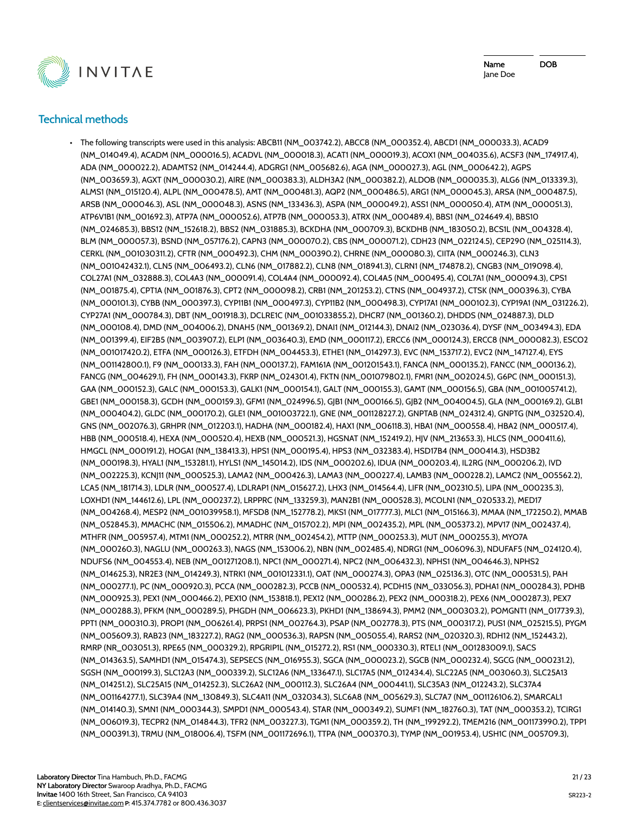

Name Jane Doe DOB

# **Technical methods**

• The following transcripts were used in this analysis: ABCB11 (NM\_003742.2), ABCC8 (NM\_000352.4), ABCD1 (NM\_000033.3), ACAD9 (NM\_014049.4), ACADM (NM\_000016.5), ACADVL (NM\_000018.3), ACAT1 (NM\_000019.3), ACOX1 (NM\_004035.6), ACSF3 (NM\_174917.4), ADA (NM\_000022.2), ADAMTS2 (NM\_014244.4), ADGRG1 (NM\_005682.6), AGA (NM\_000027.3), AGL (NM\_000642.2), AGPS (NM\_003659.3), AGXT (NM\_000030.2), AIRE (NM\_000383.3), ALDH3A2 (NM\_000382.2), ALDOB (NM\_000035.3), ALG6 (NM\_013339.3), ALMS1 (NM\_015120.4), ALPL (NM\_000478.5), AMT (NM\_000481.3), AQP2 (NM\_000486.5), ARG1 (NM\_000045.3), ARSA (NM\_000487.5), ARSB (NM\_000046.3), ASL (NM\_000048.3), ASNS (NM\_133436.3), ASPA (NM\_000049.2), ASS1 (NM\_000050.4), ATM (NM\_000051.3), ATP6V1B1 (NM\_001692.3), ATP7A (NM\_000052.6), ATP7B (NM\_000053.3), ATRX (NM\_000489.4), BBS1 (NM\_024649.4), BBS10 (NM\_024685.3), BBS12 (NM\_152618.2), BBS2 (NM\_031885.3), BCKDHA (NM\_000709.3), BCKDHB (NM\_183050.2), BCS1L (NM\_004328.4), BLM (NM\_000057.3), BSND (NM\_057176.2), CAPN3 (NM\_000070.2), CBS (NM\_000071.2), CDH23 (NM\_022124.5), CEP290 (NM\_025114.3), CERKL (NM\_001030311.2), CFTR (NM\_000492.3), CHM (NM\_000390.2), CHRNE (NM\_000080.3), CIITA (NM\_000246.3), CLN3 (NM\_001042432.1), CLN5 (NM\_006493.2), CLN6 (NM\_017882.2), CLN8 (NM\_018941.3), CLRN1 (NM\_174878.2), CNGB3 (NM\_019098.4), COL27A1 (NM\_032888.3), COL4A3 (NM\_000091.4), COL4A4 (NM\_000092.4), COL4A5 (NM\_000495.4), COL7A1 (NM\_000094.3), CPS1 (NM\_001875.4), CPT1A (NM\_001876.3), CPT2 (NM\_000098.2), CRB1 (NM\_201253.2), CTNS (NM\_004937.2), CTSK (NM\_000396.3), CYBA (NM\_000101.3), CYBB (NM\_000397.3), CYP11B1 (NM\_000497.3), CYP11B2 (NM\_000498.3), CYP17A1 (NM\_000102.3), CYP19A1 (NM\_031226.2), CYP27A1 (NM\_000784.3), DBT (NM\_001918.3), DCLRE1C (NM\_001033855.2), DHCR7 (NM\_001360.2), DHDDS (NM\_024887.3), DLD (NM\_000108.4), DMD (NM\_004006.2), DNAH5 (NM\_001369.2), DNAI1 (NM\_012144.3), DNAI2 (NM\_023036.4), DYSF (NM\_003494.3), EDA (NM\_001399.4), EIF2B5 (NM\_003907.2), ELP1 (NM\_003640.3), EMD (NM\_000117.2), ERCC6 (NM\_000124.3), ERCC8 (NM\_000082.3), ESCO2 (NM\_001017420.2), ETFA (NM\_000126.3), ETFDH (NM\_004453.3), ETHE1 (NM\_014297.3), EVC (NM\_153717.2), EVC2 (NM\_147127.4), EYS (NM\_001142800.1), F9 (NM\_000133.3), FAH (NM\_000137.2), FAM161A (NM\_001201543.1), FANCA (NM\_000135.2), FANCC (NM\_000136.2), FANCG (NM\_004629.1), FH (NM\_000143.3), FKRP (NM\_024301.4), FKTN (NM\_001079802.1), FMR1 (NM\_002024.5), G6PC (NM\_000151.3), GAA (NM\_000152.3), GALC (NM\_000153.3), GALK1 (NM\_000154.1), GALT (NM\_000155.3), GAMT (NM\_000156.5), GBA (NM\_001005741.2), GBE1 (NM\_000158.3), GCDH (NM\_000159.3), GFM1 (NM\_024996.5), GJB1 (NM\_000166.5), GJB2 (NM\_004004.5), GLA (NM\_000169.2), GLB1 (NM\_000404.2), GLDC (NM\_000170.2), GLE1 (NM\_001003722.1), GNE (NM\_001128227.2), GNPTAB (NM\_024312.4), GNPTG (NM\_032520.4), GNS (NM\_002076.3), GRHPR (NM\_012203.1), HADHA (NM\_000182.4), HAX1 (NM\_006118.3), HBA1 (NM\_000558.4), HBA2 (NM\_000517.4), HBB (NM\_000518.4), HEXA (NM\_000520.4), HEXB (NM\_000521.3), HGSNAT (NM\_152419.2), HJV (NM\_213653.3), HLCS (NM\_000411.6), HMGCL (NM\_000191.2), HOGA1 (NM\_138413.3), HPS1 (NM\_000195.4), HPS3 (NM\_032383.4), HSD17B4 (NM\_000414.3), HSD3B2 (NM\_000198.3), HYAL1 (NM\_153281.1), HYLS1 (NM\_145014.2), IDS (NM\_000202.6), IDUA (NM\_000203.4), IL2RG (NM\_000206.2), IVD (NM\_002225.3), KCNJ11 (NM\_000525.3), LAMA2 (NM\_000426.3), LAMA3 (NM\_000227.4), LAMB3 (NM\_000228.2), LAMC2 (NM\_005562.2), LCA5 (NM\_181714.3), LDLR (NM\_000527.4), LDLRAP1 (NM\_015627.2), LHX3 (NM\_014564.4), LIFR (NM\_002310.5), LIPA (NM\_000235.3), LOXHD1 (NM\_144612.6), LPL (NM\_000237.2), LRPPRC (NM\_133259.3), MAN2B1 (NM\_000528.3), MCOLN1 (NM\_020533.2), MED17 (NM\_004268.4), MESP2 (NM\_001039958.1), MFSD8 (NM\_152778.2), MKS1 (NM\_017777.3), MLC1 (NM\_015166.3), MMAA (NM\_172250.2), MMAB (NM\_052845.3), MMACHC (NM\_015506.2), MMADHC (NM\_015702.2), MPI (NM\_002435.2), MPL (NM\_005373.2), MPV17 (NM\_002437.4), MTHFR (NM\_005957.4), MTM1 (NM\_000252.2), MTRR (NM\_002454.2), MTTP (NM\_000253.3), MUT (NM\_000255.3), MYO7A (NM\_000260.3), NAGLU (NM\_000263.3), NAGS (NM\_153006.2), NBN (NM\_002485.4), NDRG1 (NM\_006096.3), NDUFAF5 (NM\_024120.4), NDUFS6 (NM\_004553.4), NEB (NM\_001271208.1), NPC1 (NM\_000271.4), NPC2 (NM\_006432.3), NPHS1 (NM\_004646.3), NPHS2 (NM\_014625.3), NR2E3 (NM\_014249.3), NTRK1 (NM\_001012331.1), OAT (NM\_000274.3), OPA3 (NM\_025136.3), OTC (NM\_000531.5), PAH (NM\_000277.1), PC (NM\_000920.3), PCCA (NM\_000282.3), PCCB (NM\_000532.4), PCDH15 (NM\_033056.3), PDHA1 (NM\_000284.3), PDHB (NM\_000925.3), PEX1 (NM\_000466.2), PEX10 (NM\_153818.1), PEX12 (NM\_000286.2), PEX2 (NM\_000318.2), PEX6 (NM\_000287.3), PEX7 (NM\_000288.3), PFKM (NM\_000289.5), PHGDH (NM\_006623.3), PKHD1 (NM\_138694.3), PMM2 (NM\_000303.2), POMGNT1 (NM\_017739.3), PPT1 (NM\_000310.3), PROP1 (NM\_006261.4), PRPS1 (NM\_002764.3), PSAP (NM\_002778.3), PTS (NM\_000317.2), PUS1 (NM\_025215.5), PYGM (NM\_005609.3), RAB23 (NM\_183227.2), RAG2 (NM\_000536.3), RAPSN (NM\_005055.4), RARS2 (NM\_020320.3), RDH12 (NM\_152443.2), RMRP (NR\_003051.3), RPE65 (NM\_000329.2), RPGRIP1L (NM\_015272.2), RS1 (NM\_000330.3), RTEL1 (NM\_001283009.1), SACS (NM\_014363.5), SAMHD1 (NM\_015474.3), SEPSECS (NM\_016955.3), SGCA (NM\_000023.2), SGCB (NM\_000232.4), SGCG (NM\_000231.2), SGSH (NM\_000199.3), SLC12A3 (NM\_000339.2), SLC12A6 (NM\_133647.1), SLC17A5 (NM\_012434.4), SLC22A5 (NM\_003060.3), SLC25A13 (NM\_014251.2), SLC25A15 (NM\_014252.3), SLC26A2 (NM\_000112.3), SLC26A4 (NM\_000441.1), SLC35A3 (NM\_012243.2), SLC37A4 (NM\_001164277.1), SLC39A4 (NM\_130849.3), SLC4A11 (NM\_032034.3), SLC6A8 (NM\_005629.3), SLC7A7 (NM\_001126106.2), SMARCAL1 (NM\_014140.3), SMN1 (NM\_000344.3), SMPD1 (NM\_000543.4), STAR (NM\_000349.2), SUMF1 (NM\_182760.3), TAT (NM\_000353.2), TCIRG1 (NM\_006019.3), TECPR2 (NM\_014844.3), TFR2 (NM\_003227.3), TGM1 (NM\_000359.2), TH (NM\_199292.2), TMEM216 (NM\_001173990.2), TPP1 (NM\_000391.3), TRMU (NM\_018006.4), TSFM (NM\_001172696.1), TTPA (NM\_000370.3), TYMP (NM\_001953.4), USH1C (NM\_005709.3),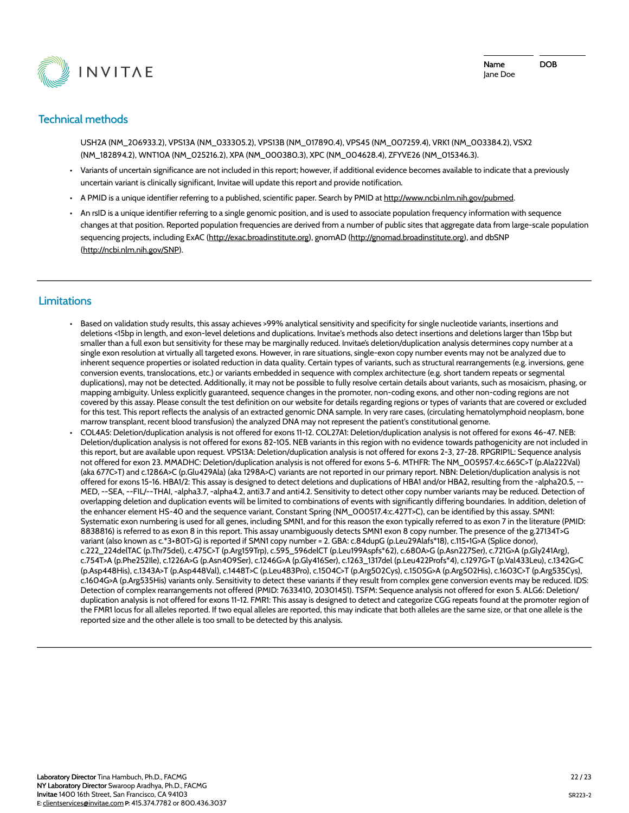

# **Technical methods**

USH2A (NM\_206933.2), VPS13A (NM\_033305.2), VPS13B (NM\_017890.4), VPS45 (NM\_007259.4), VRK1 (NM\_003384.2), VSX2 (NM\_182894.2), WNT10A (NM\_025216.2), XPA (NM\_000380.3), XPC (NM\_004628.4), ZFYVE26 (NM\_015346.3).

- Variants of uncertain significance are not included in this report; however, if additional evidence becomes available to indicate that a previously uncertain variant is clinically significant, Invitae will update this report and provide notification.
- A PMID is a unique identifier referring to a published, scientific paper. Search by PMID at http://www.ncbi.nlm.nih.gov/pubmed.
- An rsID is a unique identifier referring to a single genomic position, and is used to associate population frequency information with sequence changes at that position. Reported population frequencies are derived from a number of public sites that aggregate data from large-scale population sequencing projects, including ExAC (http://exac.broadinstitute.org), gnomAD (http://gnomad.broadinstitute.org), and dbSNP (http://ncbi.nlm.nih.gov/SNP).

#### **Limitations**

- Based on validation study results, this assay achieves >99% analytical sensitivity and specificity for single nucleotide variants, insertions and deletions <15bp in length, and exon-level deletions and duplications. Invitae's methods also detect insertions and deletions larger than 15bp but smaller than a full exon but sensitivity for these may be marginally reduced. Invitae's deletion/duplication analysis determines copy number at a single exon resolution at virtually all targeted exons. However, in rare situations, single-exon copy number events may not be analyzed due to inherent sequence properties or isolated reduction in data quality. Certain types of variants, such as structural rearrangements (e.g. inversions, gene conversion events, translocations, etc.) or variants embedded in sequence with complex architecture (e.g. short tandem repeats or segmental duplications), may not be detected. Additionally, it may not be possible to fully resolve certain details about variants, such as mosaicism, phasing, or mapping ambiguity. Unless explicitly guaranteed, sequence changes in the promoter, non-coding exons, and other non-coding regions are not covered by this assay. Please consult the test definition on our website for details regarding regions or types of variants that are covered or excluded for this test. This report reflects the analysis of an extracted genomic DNA sample. In very rare cases, (circulating hematolymphoid neoplasm, bone marrow transplant, recent blood transfusion) the analyzed DNA may not represent the patient's constitutional genome.
- COL4A5: Deletion/duplication analysis is not offered for exons 11-12. COL27A1: Deletion/duplication analysis is not offered for exons 46-47. NEB: Deletion/duplication analysis is not offered for exons 82-105. NEB variants in this region with no evidence towards pathogenicity are not included in this report, but are available upon request. VPS13A: Deletion/duplication analysis is not offered for exons 2-3, 27-28. RPGRIP1L: Sequence analysis not offered for exon 23. MMADHC: Deletion/duplication analysis is not offered for exons 5-6. MTHFR: The NM\_005957.4:c.665C>T (p.Ala222Val) (aka 677C>T) and c.1286A>C (p.Glu429Ala) (aka 1298A>C) variants are not reported in our primary report. NBN: Deletion/duplication analysis is not offered for exons 15-16. HBA1/2: This assay is designed to detect deletions and duplications of HBA1 and/or HBA2, resulting from the -alpha20.5, -- MED, --SEA, --FIL/--THAI, -alpha3.7, -alpha4.2, anti3.7 and anti4.2. Sensitivity to detect other copy number variants may be reduced. Detection of overlapping deletion and duplication events will be limited to combinations of events with significantly differing boundaries. In addition, deletion of the enhancer element HS-40 and the sequence variant, Constant Spring (NM\_000517.4:c.427T>C), can be identified by this assay. SMN1: Systematic exon numbering is used for all genes, including SMN1, and for this reason the exon typically referred to as exon 7 in the literature (PMID: 8838816) is referred to as exon 8 in this report. This assay unambiguously detects SMN1 exon 8 copy number. The presence of the g.27134T>G variant (also known as c.\*3+80T>G) is reported if SMN1 copy number = 2. GBA: c.84dupG (p.Leu29Alafs\*18), c.115+1G>A (Splice donor), c.222\_224delTAC (p.Thr75del), c.475C>T (p.Arg159Trp), c.595\_596delCT (p.Leu199Aspfs\*62), c.680A>G (p.Asn227Ser), c.721G>A (p.Gly241Arg), c.754T>A (p.Phe252Ile), c.1226A>G (p.Asn409Ser), c.1246G>A (p.Gly416Ser), c.1263\_1317del (p.Leu422Profs\*4), c.1297G>T (p.Val433Leu), c.1342G>C (p.Asp448His), c.1343A>T (p.Asp448Val), c.1448T>C (p.Leu483Pro), c.1504C>T (p.Arg502Cys), c.1505G>A (p.Arg502His), c.1603C>T (p.Arg535Cys), c.1604G>A (p.Arg535His) variants only. Sensitivity to detect these variants if they result from complex gene conversion events may be reduced. IDS: Detection of complex rearrangements not offered (PMID: 7633410, 20301451). TSFM: Sequence analysis not offered for exon 5. ALG6: Deletion/ duplication analysis is not offered for exons 11-12. FMR1: This assay is designed to detect and categorize CGG repeats found at the promoter region of the FMR1 locus for all alleles reported. If two equal alleles are reported, this may indicate that both alleles are the same size, or that one allele is the reported size and the other allele is too small to be detected by this analysis.